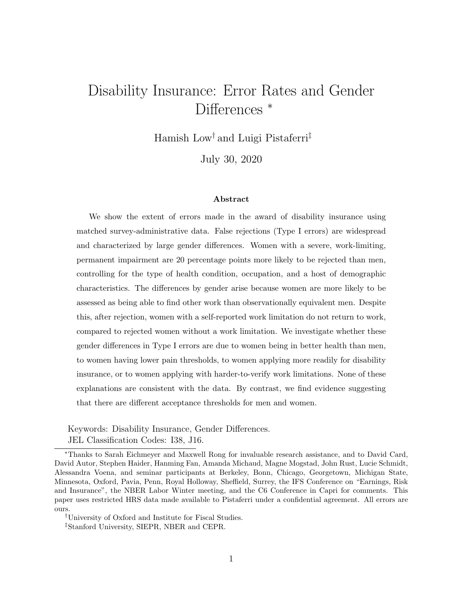# Disability Insurance: Error Rates and Gender Differences  $*$

Hamish Low† and Luigi Pistaferri‡

July 30, 2020

#### Abstract

We show the extent of errors made in the award of disability insurance using matched survey-administrative data. False rejections (Type I errors) are widespread and characterized by large gender differences. Women with a severe, work-limiting, permanent impairment are 20 percentage points more likely to be rejected than men, controlling for the type of health condition, occupation, and a host of demographic characteristics. The differences by gender arise because women are more likely to be assessed as being able to find other work than observationally equivalent men. Despite this, after rejection, women with a self-reported work limitation do not return to work, compared to rejected women without a work limitation. We investigate whether these gender differences in Type I errors are due to women being in better health than men, to women having lower pain thresholds, to women applying more readily for disability insurance, or to women applying with harder-to-verify work limitations. None of these explanations are consistent with the data. By contrast, we find evidence suggesting that there are different acceptance thresholds for men and women.

Keywords: Disability Insurance, Gender Differences. JEL Classification Codes: I38, J16.

†University of Oxford and Institute for Fiscal Studies.

<sup>∗</sup>Thanks to Sarah Eichmeyer and Maxwell Rong for invaluable research assistance, and to David Card, David Autor, Stephen Haider, Hanming Fan, Amanda Michaud, Magne Mogstad, John Rust, Lucie Schmidt, Alessandra Voena, and seminar participants at Berkeley, Bonn, Chicago, Georgetown, Michigan State, Minnesota, Oxford, Pavia, Penn, Royal Holloway, Sheffield, Surrey, the IFS Conference on "Earnings, Risk and Insurance", the NBER Labor Winter meeting, and the C6 Conference in Capri for comments. This paper uses restricted HRS data made available to Pistaferri under a confidential agreement. All errors are ours.

<sup>‡</sup>Stanford University, SIEPR, NBER and CEPR.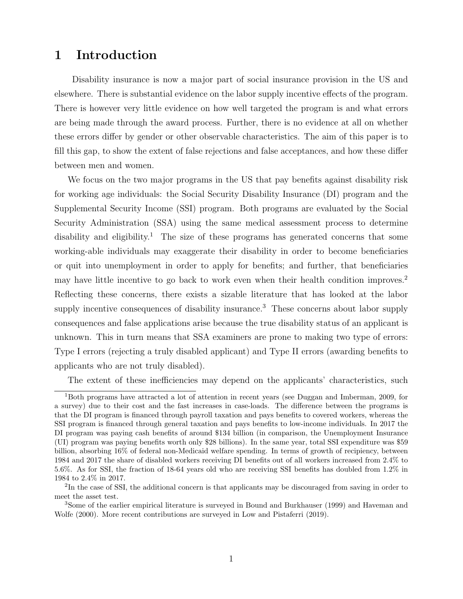## 1 Introduction

Disability insurance is now a major part of social insurance provision in the US and elsewhere. There is substantial evidence on the labor supply incentive effects of the program. There is however very little evidence on how well targeted the program is and what errors are being made through the award process. Further, there is no evidence at all on whether these errors differ by gender or other observable characteristics. The aim of this paper is to fill this gap, to show the extent of false rejections and false acceptances, and how these differ between men and women.

We focus on the two major programs in the US that pay benefits against disability risk for working age individuals: the Social Security Disability Insurance (DI) program and the Supplemental Security Income (SSI) program. Both programs are evaluated by the Social Security Administration (SSA) using the same medical assessment process to determine disability and eligibility.<sup>1</sup> The size of these programs has generated concerns that some working-able individuals may exaggerate their disability in order to become beneficiaries or quit into unemployment in order to apply for benefits; and further, that beneficiaries may have little incentive to go back to work even when their health condition improves.<sup>2</sup> Reflecting these concerns, there exists a sizable literature that has looked at the labor supply incentive consequences of disability insurance.<sup>3</sup> These concerns about labor supply consequences and false applications arise because the true disability status of an applicant is unknown. This in turn means that SSA examiners are prone to making two type of errors: Type I errors (rejecting a truly disabled applicant) and Type II errors (awarding benefits to applicants who are not truly disabled).

The extent of these inefficiencies may depend on the applicants' characteristics, such

<sup>1</sup>Both programs have attracted a lot of attention in recent years (see Duggan and Imberman, 2009, for a survey) due to their cost and the fast increases in case-loads. The difference between the programs is that the DI program is financed through payroll taxation and pays benefits to covered workers, whereas the SSI program is financed through general taxation and pays benefits to low-income individuals. In 2017 the DI program was paying cash benefits of around \$134 billion (in comparison, the Unemployment Insurance (UI) program was paying benefits worth only \$28 billions). In the same year, total SSI expenditure was \$59 billion, absorbing 16% of federal non-Medicaid welfare spending. In terms of growth of recipiency, between 1984 and 2017 the share of disabled workers receiving DI benefits out of all workers increased from 2.4% to 5.6%. As for SSI, the fraction of 18-64 years old who are receiving SSI benefits has doubled from 1.2% in 1984 to 2.4% in 2017.

<sup>&</sup>lt;sup>2</sup>In the case of SSI, the additional concern is that applicants may be discouraged from saving in order to meet the asset test.

<sup>3</sup>Some of the earlier empirical literature is surveyed in Bound and Burkhauser (1999) and Haveman and Wolfe (2000). More recent contributions are surveyed in Low and Pistaferri (2019).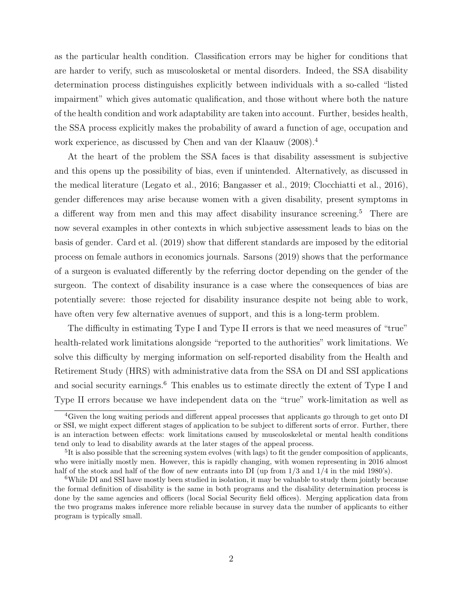as the particular health condition. Classification errors may be higher for conditions that are harder to verify, such as muscolosketal or mental disorders. Indeed, the SSA disability determination process distinguishes explicitly between individuals with a so-called "listed impairment" which gives automatic qualification, and those without where both the nature of the health condition and work adaptability are taken into account. Further, besides health, the SSA process explicitly makes the probability of award a function of age, occupation and work experience, as discussed by Chen and van der Klaauw (2008).<sup>4</sup>

At the heart of the problem the SSA faces is that disability assessment is subjective and this opens up the possibility of bias, even if unintended. Alternatively, as discussed in the medical literature (Legato et al., 2016; Bangasser et al., 2019; Clocchiatti et al., 2016), gender differences may arise because women with a given disability, present symptoms in a different way from men and this may affect disability insurance screening.<sup>5</sup> There are now several examples in other contexts in which subjective assessment leads to bias on the basis of gender. Card et al. (2019) show that different standards are imposed by the editorial process on female authors in economics journals. Sarsons (2019) shows that the performance of a surgeon is evaluated differently by the referring doctor depending on the gender of the surgeon. The context of disability insurance is a case where the consequences of bias are potentially severe: those rejected for disability insurance despite not being able to work, have often very few alternative avenues of support, and this is a long-term problem.

The difficulty in estimating Type I and Type II errors is that we need measures of "true" health-related work limitations alongside "reported to the authorities" work limitations. We solve this difficulty by merging information on self-reported disability from the Health and Retirement Study (HRS) with administrative data from the SSA on DI and SSI applications and social security earnings.<sup>6</sup> This enables us to estimate directly the extent of Type I and Type II errors because we have independent data on the "true" work-limitation as well as

<sup>4</sup>Given the long waiting periods and different appeal processes that applicants go through to get onto DI or SSI, we might expect different stages of application to be subject to different sorts of error. Further, there is an interaction between effects: work limitations caused by muscoloskeletal or mental health conditions tend only to lead to disability awards at the later stages of the appeal process.

<sup>&</sup>lt;sup>5</sup>It is also possible that the screening system evolves (with lags) to fit the gender composition of applicants, who were initially mostly men. However, this is rapidly changing, with women representing in 2016 almost half of the stock and half of the flow of new entrants into DI (up from  $1/3$  and  $1/4$  in the mid 1980's).

<sup>&</sup>lt;sup>6</sup>While DI and SSI have mostly been studied in isolation, it may be valuable to study them jointly because the formal definition of disability is the same in both programs and the disability determination process is done by the same agencies and officers (local Social Security field offices). Merging application data from the two programs makes inference more reliable because in survey data the number of applicants to either program is typically small.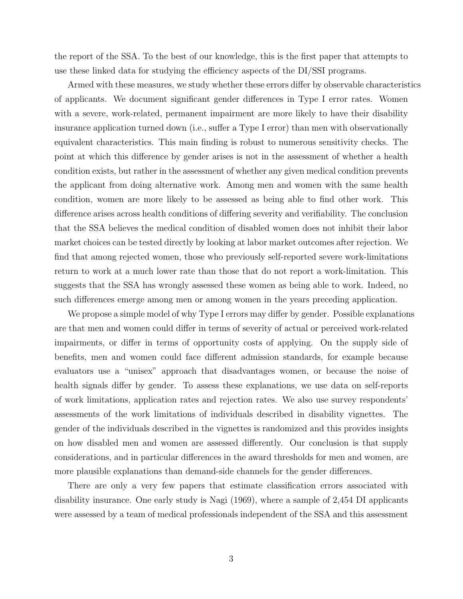the report of the SSA. To the best of our knowledge, this is the first paper that attempts to use these linked data for studying the efficiency aspects of the DI/SSI programs.

Armed with these measures, we study whether these errors differ by observable characteristics of applicants. We document significant gender differences in Type I error rates. Women with a severe, work-related, permanent impairment are more likely to have their disability insurance application turned down (i.e., suffer a Type I error) than men with observationally equivalent characteristics. This main finding is robust to numerous sensitivity checks. The point at which this difference by gender arises is not in the assessment of whether a health condition exists, but rather in the assessment of whether any given medical condition prevents the applicant from doing alternative work. Among men and women with the same health condition, women are more likely to be assessed as being able to find other work. This difference arises across health conditions of differing severity and verifiability. The conclusion that the SSA believes the medical condition of disabled women does not inhibit their labor market choices can be tested directly by looking at labor market outcomes after rejection. We find that among rejected women, those who previously self-reported severe work-limitations return to work at a much lower rate than those that do not report a work-limitation. This suggests that the SSA has wrongly assessed these women as being able to work. Indeed, no such differences emerge among men or among women in the years preceding application.

We propose a simple model of why Type I errors may differ by gender. Possible explanations are that men and women could differ in terms of severity of actual or perceived work-related impairments, or differ in terms of opportunity costs of applying. On the supply side of benefits, men and women could face different admission standards, for example because evaluators use a "unisex" approach that disadvantages women, or because the noise of health signals differ by gender. To assess these explanations, we use data on self-reports of work limitations, application rates and rejection rates. We also use survey respondents' assessments of the work limitations of individuals described in disability vignettes. The gender of the individuals described in the vignettes is randomized and this provides insights on how disabled men and women are assessed differently. Our conclusion is that supply considerations, and in particular differences in the award thresholds for men and women, are more plausible explanations than demand-side channels for the gender differences.

There are only a very few papers that estimate classification errors associated with disability insurance. One early study is Nagi (1969), where a sample of 2,454 DI applicants were assessed by a team of medical professionals independent of the SSA and this assessment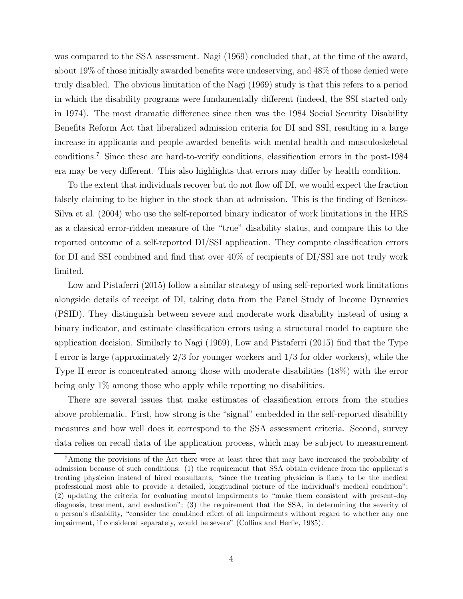was compared to the SSA assessment. Nagi (1969) concluded that, at the time of the award, about 19% of those initially awarded benefits were undeserving, and 48% of those denied were truly disabled. The obvious limitation of the Nagi (1969) study is that this refers to a period in which the disability programs were fundamentally different (indeed, the SSI started only in 1974). The most dramatic difference since then was the 1984 Social Security Disability Benefits Reform Act that liberalized admission criteria for DI and SSI, resulting in a large increase in applicants and people awarded benefits with mental health and musculoskeletal conditions.<sup>7</sup> Since these are hard-to-verify conditions, classification errors in the post-1984 era may be very different. This also highlights that errors may differ by health condition.

To the extent that individuals recover but do not flow off DI, we would expect the fraction falsely claiming to be higher in the stock than at admission. This is the finding of Benitez-Silva et al. (2004) who use the self-reported binary indicator of work limitations in the HRS as a classical error-ridden measure of the "true" disability status, and compare this to the reported outcome of a self-reported DI/SSI application. They compute classification errors for DI and SSI combined and find that over 40% of recipients of DI/SSI are not truly work limited.

Low and Pistaferri (2015) follow a similar strategy of using self-reported work limitations alongside details of receipt of DI, taking data from the Panel Study of Income Dynamics (PSID). They distinguish between severe and moderate work disability instead of using a binary indicator, and estimate classification errors using a structural model to capture the application decision. Similarly to Nagi (1969), Low and Pistaferri (2015) find that the Type I error is large (approximately 2/3 for younger workers and 1/3 for older workers), while the Type II error is concentrated among those with moderate disabilities (18%) with the error being only 1% among those who apply while reporting no disabilities.

There are several issues that make estimates of classification errors from the studies above problematic. First, how strong is the "signal" embedded in the self-reported disability measures and how well does it correspond to the SSA assessment criteria. Second, survey data relies on recall data of the application process, which may be subject to measurement

<sup>7</sup>Among the provisions of the Act there were at least three that may have increased the probability of admission because of such conditions: (1) the requirement that SSA obtain evidence from the applicant's treating physician instead of hired consultants, "since the treating physician is likely to be the medical professional most able to provide a detailed, longitudinal picture of the individual's medical condition"; (2) updating the criteria for evaluating mental impairments to "make them consistent with present-day diagnosis, treatment, and evaluation"; (3) the requirement that the SSA, in determining the severity of a person's disability, "consider the combined effect of all impairments without regard to whether any one impairment, if considered separately, would be severe" (Collins and Herfle, 1985).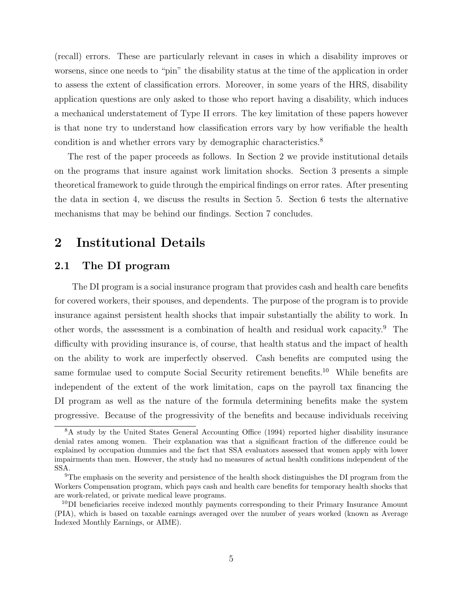(recall) errors. These are particularly relevant in cases in which a disability improves or worsens, since one needs to "pin" the disability status at the time of the application in order to assess the extent of classification errors. Moreover, in some years of the HRS, disability application questions are only asked to those who report having a disability, which induces a mechanical understatement of Type II errors. The key limitation of these papers however is that none try to understand how classification errors vary by how verifiable the health condition is and whether errors vary by demographic characteristics.<sup>8</sup>

The rest of the paper proceeds as follows. In Section 2 we provide institutional details on the programs that insure against work limitation shocks. Section 3 presents a simple theoretical framework to guide through the empirical findings on error rates. After presenting the data in section 4, we discuss the results in Section 5. Section 6 tests the alternative mechanisms that may be behind our findings. Section 7 concludes.

## 2 Institutional Details

## 2.1 The DI program

The DI program is a social insurance program that provides cash and health care benefits for covered workers, their spouses, and dependents. The purpose of the program is to provide insurance against persistent health shocks that impair substantially the ability to work. In other words, the assessment is a combination of health and residual work capacity.<sup>9</sup> The difficulty with providing insurance is, of course, that health status and the impact of health on the ability to work are imperfectly observed. Cash benefits are computed using the same formulae used to compute Social Security retirement benefits.<sup>10</sup> While benefits are independent of the extent of the work limitation, caps on the payroll tax financing the DI program as well as the nature of the formula determining benefits make the system progressive. Because of the progressivity of the benefits and because individuals receiving

<sup>&</sup>lt;sup>8</sup>A study by the United States General Accounting Office (1994) reported higher disability insurance denial rates among women. Their explanation was that a significant fraction of the difference could be explained by occupation dummies and the fact that SSA evaluators assessed that women apply with lower impairments than men. However, the study had no measures of actual health conditions independent of the SSA.

 $9<sup>9</sup>$ The emphasis on the severity and persistence of the health shock distinguishes the DI program from the Workers Compensation program, which pays cash and health care benefits for temporary health shocks that are work-related, or private medical leave programs.

 $10\text{DI}$  beneficiaries receive indexed monthly payments corresponding to their Primary Insurance Amount (PIA), which is based on taxable earnings averaged over the number of years worked (known as Average Indexed Monthly Earnings, or AIME).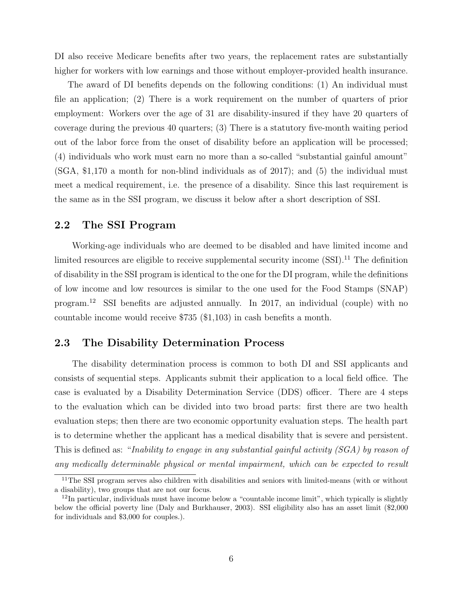DI also receive Medicare benefits after two years, the replacement rates are substantially higher for workers with low earnings and those without employer-provided health insurance.

The award of DI benefits depends on the following conditions: (1) An individual must file an application; (2) There is a work requirement on the number of quarters of prior employment: Workers over the age of 31 are disability-insured if they have 20 quarters of coverage during the previous 40 quarters; (3) There is a statutory five-month waiting period out of the labor force from the onset of disability before an application will be processed; (4) individuals who work must earn no more than a so-called "substantial gainful amount" (SGA, \$1,170 a month for non-blind individuals as of 2017); and (5) the individual must meet a medical requirement, i.e. the presence of a disability. Since this last requirement is the same as in the SSI program, we discuss it below after a short description of SSI.

#### 2.2 The SSI Program

Working-age individuals who are deemed to be disabled and have limited income and limited resources are eligible to receive supplemental security income  $(SSI)$ .<sup>11</sup> The definition of disability in the SSI program is identical to the one for the DI program, while the definitions of low income and low resources is similar to the one used for the Food Stamps (SNAP) program.<sup>12</sup> SSI benefits are adjusted annually. In 2017, an individual (couple) with no countable income would receive \$735 (\$1,103) in cash benefits a month.

#### 2.3 The Disability Determination Process

The disability determination process is common to both DI and SSI applicants and consists of sequential steps. Applicants submit their application to a local field office. The case is evaluated by a Disability Determination Service (DDS) officer. There are 4 steps to the evaluation which can be divided into two broad parts: first there are two health evaluation steps; then there are two economic opportunity evaluation steps. The health part is to determine whether the applicant has a medical disability that is severe and persistent. This is defined as: "Inability to engage in any substantial gainful activity (SGA) by reason of any medically determinable physical or mental impairment, which can be expected to result

<sup>&</sup>lt;sup>11</sup>The SSI program serves also children with disabilities and seniors with limited-means (with or without a disability), two groups that are not our focus.

 $12$ In particular, individuals must have income below a "countable income limit", which typically is slightly below the official poverty line (Daly and Burkhauser, 2003). SSI eligibility also has an asset limit (\$2,000 for individuals and \$3,000 for couples.).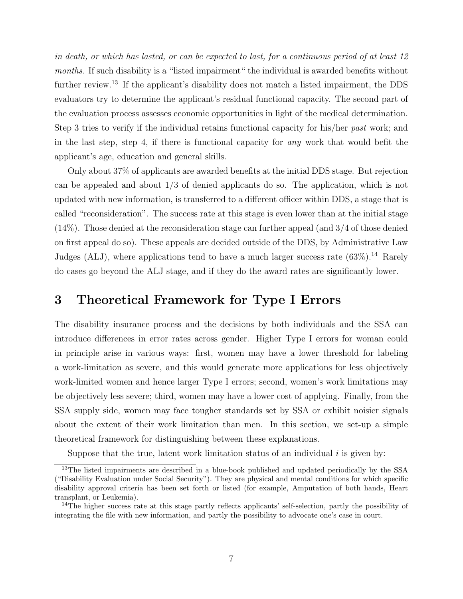in death, or which has lasted, or can be expected to last, for a continuous period of at least 12 months. If such disability is a "listed impairment" the individual is awarded benefits without further review.<sup>13</sup> If the applicant's disability does not match a listed impairment, the DDS evaluators try to determine the applicant's residual functional capacity. The second part of the evaluation process assesses economic opportunities in light of the medical determination. Step 3 tries to verify if the individual retains functional capacity for his/her past work; and in the last step, step 4, if there is functional capacity for any work that would befit the applicant's age, education and general skills.

Only about 37% of applicants are awarded benefits at the initial DDS stage. But rejection can be appealed and about 1/3 of denied applicants do so. The application, which is not updated with new information, is transferred to a different officer within DDS, a stage that is called "reconsideration". The success rate at this stage is even lower than at the initial stage (14%). Those denied at the reconsideration stage can further appeal (and 3/4 of those denied on first appeal do so). These appeals are decided outside of the DDS, by Administrative Law Judges (ALJ), where applications tend to have a much larger success rate  $(63\%)$ .<sup>14</sup> Rarely do cases go beyond the ALJ stage, and if they do the award rates are significantly lower.

## 3 Theoretical Framework for Type I Errors

The disability insurance process and the decisions by both individuals and the SSA can introduce differences in error rates across gender. Higher Type I errors for woman could in principle arise in various ways: first, women may have a lower threshold for labeling a work-limitation as severe, and this would generate more applications for less objectively work-limited women and hence larger Type I errors; second, women's work limitations may be objectively less severe; third, women may have a lower cost of applying. Finally, from the SSA supply side, women may face tougher standards set by SSA or exhibit noisier signals about the extent of their work limitation than men. In this section, we set-up a simple theoretical framework for distinguishing between these explanations.

Suppose that the true, latent work limitation status of an individual  $i$  is given by:

<sup>&</sup>lt;sup>13</sup>The listed impairments are described in a blue-book published and updated periodically by the SSA ("Disability Evaluation under Social Security"). They are physical and mental conditions for which specific disability approval criteria has been set forth or listed (for example, Amputation of both hands, Heart transplant, or Leukemia).

<sup>&</sup>lt;sup>14</sup>The higher success rate at this stage partly reflects applicants' self-selection, partly the possibility of integrating the file with new information, and partly the possibility to advocate one's case in court.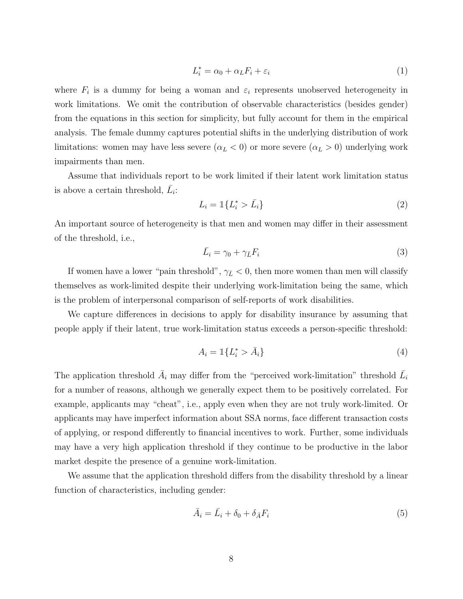$$
L_i^* = \alpha_0 + \alpha_L F_i + \varepsilon_i \tag{1}
$$

where  $F_i$  is a dummy for being a woman and  $\varepsilon_i$  represents unobserved heterogeneity in work limitations. We omit the contribution of observable characteristics (besides gender) from the equations in this section for simplicity, but fully account for them in the empirical analysis. The female dummy captures potential shifts in the underlying distribution of work limitations: women may have less severe  $(\alpha_L < 0)$  or more severe  $(\alpha_L > 0)$  underlying work impairments than men.

Assume that individuals report to be work limited if their latent work limitation status is above a certain threshold,  $\bar{L}_i$ :

$$
L_i = \mathbb{1}\{L_i^* > \bar{L}_i\} \tag{2}
$$

An important source of heterogeneity is that men and women may differ in their assessment of the threshold, i.e.,

$$
\bar{L}_i = \gamma_0 + \gamma_{\bar{L}} F_i \tag{3}
$$

If women have a lower "pain threshold",  $\gamma_{\bar{L}} < 0$ , then more women than men will classify themselves as work-limited despite their underlying work-limitation being the same, which is the problem of interpersonal comparison of self-reports of work disabilities.

We capture differences in decisions to apply for disability insurance by assuming that people apply if their latent, true work-limitation status exceeds a person-specific threshold:

$$
A_i = \mathbb{1}\{L_i^* > \bar{A}_i\} \tag{4}
$$

The application threshold  $\bar{A}_i$  may differ from the "perceived work-limitation" threshold  $\bar{L}_i$ for a number of reasons, although we generally expect them to be positively correlated. For example, applicants may "cheat", i.e., apply even when they are not truly work-limited. Or applicants may have imperfect information about SSA norms, face different transaction costs of applying, or respond differently to financial incentives to work. Further, some individuals may have a very high application threshold if they continue to be productive in the labor market despite the presence of a genuine work-limitation.

We assume that the application threshold differs from the disability threshold by a linear function of characteristics, including gender:

$$
\bar{A}_i = \bar{L}_i + \delta_0 + \delta_{\bar{A}} F_i \tag{5}
$$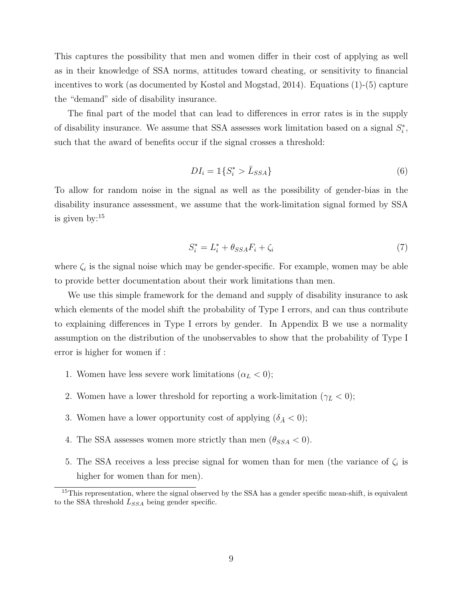This captures the possibility that men and women differ in their cost of applying as well as in their knowledge of SSA norms, attitudes toward cheating, or sensitivity to financial incentives to work (as documented by Kostøl and Mogstad, 2014). Equations (1)-(5) capture the "demand" side of disability insurance.

The final part of the model that can lead to differences in error rates is in the supply of disability insurance. We assume that SSA assesses work limitation based on a signal  $S_i^*$ , such that the award of benefits occur if the signal crosses a threshold:

$$
DI_i = \mathbb{1}\{S_i^* > \bar{L}_{SSA}\}\tag{6}
$$

To allow for random noise in the signal as well as the possibility of gender-bias in the disability insurance assessment, we assume that the work-limitation signal formed by SSA is given by:<sup>15</sup>

$$
S_i^* = L_i^* + \theta_{SSA} F_i + \zeta_i \tag{7}
$$

where  $\zeta_i$  is the signal noise which may be gender-specific. For example, women may be able to provide better documentation about their work limitations than men.

We use this simple framework for the demand and supply of disability insurance to ask which elements of the model shift the probability of Type I errors, and can thus contribute to explaining differences in Type I errors by gender. In Appendix B we use a normality assumption on the distribution of the unobservables to show that the probability of Type I error is higher for women if :

- 1. Women have less severe work limitations  $(\alpha_L < 0);$
- 2. Women have a lower threshold for reporting a work-limitation ( $\gamma_{\bar{L}} < 0$ );
- 3. Women have a lower opportunity cost of applying  $(\delta_{\bar{A}} < 0);$
- 4. The SSA assesses women more strictly than men  $(\theta_{SSA} < 0)$ .
- 5. The SSA receives a less precise signal for women than for men (the variance of  $\zeta_i$  is higher for women than for men).

<sup>&</sup>lt;sup>15</sup>This representation, where the signal observed by the SSA has a gender specific mean-shift, is equivalent to the SSA threshold  $\bar{L}_{SSA}$  being gender specific.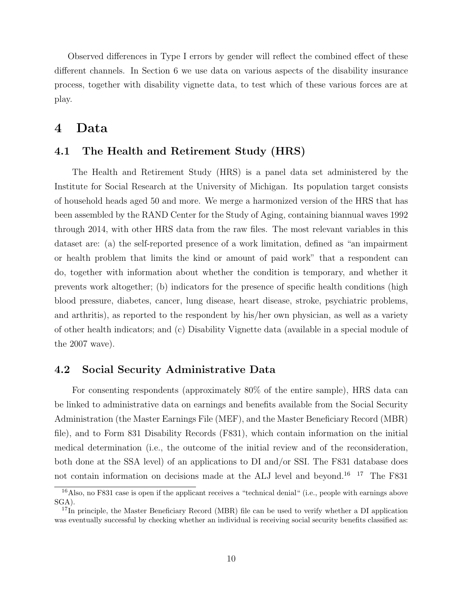Observed differences in Type I errors by gender will reflect the combined effect of these different channels. In Section 6 we use data on various aspects of the disability insurance process, together with disability vignette data, to test which of these various forces are at play.

## 4 Data

### 4.1 The Health and Retirement Study (HRS)

The Health and Retirement Study (HRS) is a panel data set administered by the Institute for Social Research at the University of Michigan. Its population target consists of household heads aged 50 and more. We merge a harmonized version of the HRS that has been assembled by the RAND Center for the Study of Aging, containing biannual waves 1992 through 2014, with other HRS data from the raw files. The most relevant variables in this dataset are: (a) the self-reported presence of a work limitation, defined as "an impairment or health problem that limits the kind or amount of paid work" that a respondent can do, together with information about whether the condition is temporary, and whether it prevents work altogether; (b) indicators for the presence of specific health conditions (high blood pressure, diabetes, cancer, lung disease, heart disease, stroke, psychiatric problems, and arthritis), as reported to the respondent by his/her own physician, as well as a variety of other health indicators; and (c) Disability Vignette data (available in a special module of the 2007 wave).

### 4.2 Social Security Administrative Data

For consenting respondents (approximately 80% of the entire sample), HRS data can be linked to administrative data on earnings and benefits available from the Social Security Administration (the Master Earnings File (MEF), and the Master Beneficiary Record (MBR) file), and to Form 831 Disability Records (F831), which contain information on the initial medical determination (i.e., the outcome of the initial review and of the reconsideration, both done at the SSA level) of an applications to DI and/or SSI. The F831 database does not contain information on decisions made at the ALJ level and beyond.16 17 The F831

<sup>16</sup>Also, no F831 case is open if the applicant receives a "technical denial" (i.e., people with earnings above SGA).

<sup>&</sup>lt;sup>17</sup>In principle, the Master Beneficiary Record (MBR) file can be used to verify whether a DI application was eventually successful by checking whether an individual is receiving social security benefits classified as: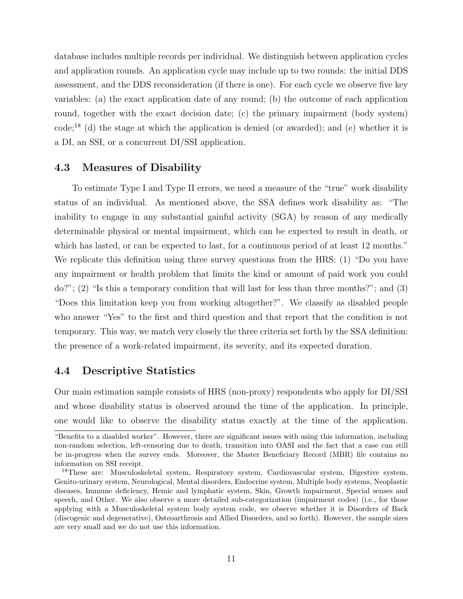database includes multiple records per individual. We distinguish between application cycles and application rounds. An application cycle may include up to two rounds: the initial DDS assessment, and the DDS reconsideration (if there is one). For each cycle we observe five key variables: (a) the exact application date of any round; (b) the outcome of each application round, together with the exact decision date; (c) the primary impairment (body system)  $code;^{18}$  (d) the stage at which the application is denied (or awarded); and (e) whether it is a DI, an SSI, or a concurrent DI/SSI application.

#### 4.3 Measures of Disability

To estimate Type I and Type II errors, we need a measure of the "true" work disability status of an individual. As mentioned above, the SSA defines work disability as: "The inability to engage in any substantial gainful activity (SGA) by reason of any medically determinable physical or mental impairment, which can be expected to result in death, or which has lasted, or can be expected to last, for a continuous period of at least 12 months." We replicate this definition using three survey questions from the HRS: (1) "Do you have any impairment or health problem that limits the kind or amount of paid work you could do?"; (2) "Is this a temporary condition that will last for less than three months?"; and (3) "Does this limitation keep you from working altogether?". We classify as disabled people who answer "Yes" to the first and third question and that report that the condition is not temporary. This way, we match very closely the three criteria set forth by the SSA definition: the presence of a work-related impairment, its severity, and its expected duration.

#### 4.4 Descriptive Statistics

Our main estimation sample consists of HRS (non-proxy) respondents who apply for DI/SSI and whose disability status is observed around the time of the application. In principle, one would like to observe the disability status exactly at the time of the application.

<sup>&</sup>quot;Benefits to a disabled worker". However, there are significant issues with using this information, including non-random selection, left-censoring due to death, transition into OASI and the fact that a case can still be in-progress when the survey ends. Moreover, the Master Beneficiary Record (MBR) file contains no information on SSI receipt.

<sup>18</sup>These are: Musculoskeletal system, Respiratory system, Cardiovascular system, Digestive system, Genito-urinary system, Neurological, Mental disorders, Endocrine system, Multiple body systems, Neoplastic diseases, Immune deficiency, Hemic and lymphatic system, Skin, Growth impairment, Special senses and speech, and Other. We also observe a more detailed sub-categorization (impairment codes) (i.e., for those applying with a Musculoskeletal system body system code, we observe whether it is Disorders of Back (discogenic and degenerative), Osteoarthrosis and Allied Disorders, and so forth). However, the sample sizes are very small and we do not use this information.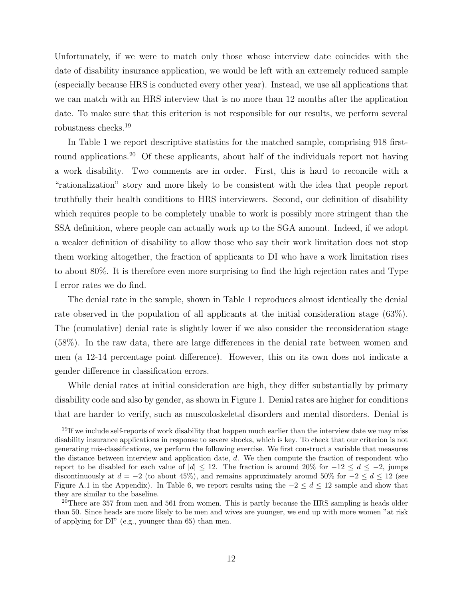Unfortunately, if we were to match only those whose interview date coincides with the date of disability insurance application, we would be left with an extremely reduced sample (especially because HRS is conducted every other year). Instead, we use all applications that we can match with an HRS interview that is no more than 12 months after the application date. To make sure that this criterion is not responsible for our results, we perform several robustness checks.<sup>19</sup>

In Table 1 we report descriptive statistics for the matched sample, comprising 918 firstround applications.<sup>20</sup> Of these applicants, about half of the individuals report not having a work disability. Two comments are in order. First, this is hard to reconcile with a "rationalization" story and more likely to be consistent with the idea that people report truthfully their health conditions to HRS interviewers. Second, our definition of disability which requires people to be completely unable to work is possibly more stringent than the SSA definition, where people can actually work up to the SGA amount. Indeed, if we adopt a weaker definition of disability to allow those who say their work limitation does not stop them working altogether, the fraction of applicants to DI who have a work limitation rises to about 80%. It is therefore even more surprising to find the high rejection rates and Type I error rates we do find.

The denial rate in the sample, shown in Table 1 reproduces almost identically the denial rate observed in the population of all applicants at the initial consideration stage (63%). The (cumulative) denial rate is slightly lower if we also consider the reconsideration stage (58%). In the raw data, there are large differences in the denial rate between women and men (a 12-14 percentage point difference). However, this on its own does not indicate a gender difference in classification errors.

While denial rates at initial consideration are high, they differ substantially by primary disability code and also by gender, as shown in Figure 1. Denial rates are higher for conditions that are harder to verify, such as muscoloskeletal disorders and mental disorders. Denial is

<sup>&</sup>lt;sup>19</sup>If we include self-reports of work disability that happen much earlier than the interview date we may miss disability insurance applications in response to severe shocks, which is key. To check that our criterion is not generating mis-classifications, we perform the following exercise. We first construct a variable that measures the distance between interview and application date, d. We then compute the fraction of respondent who report to be disabled for each value of  $|d| \leq 12$ . The fraction is around 20% for  $-12 \leq d \leq -2$ , jumps discontinuously at  $d = -2$  (to about 45%), and remains approximately around 50% for  $-2 \le d \le 12$  (see Figure A.1 in the Appendix). In Table 6, we report results using the  $-2 \le d \le 12$  sample and show that they are similar to the baseline.

<sup>&</sup>lt;sup>20</sup>There are 357 from men and 561 from women. This is partly because the HRS sampling is heads older than 50. Since heads are more likely to be men and wives are younger, we end up with more women "at risk of applying for DI" (e.g., younger than 65) than men.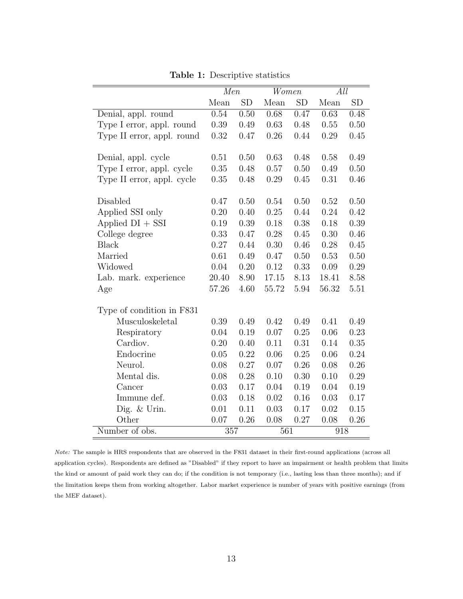|                            | Men   |           | Women    |           | All   |           |  |
|----------------------------|-------|-----------|----------|-----------|-------|-----------|--|
|                            | Mean  | <b>SD</b> | Mean     | <b>SD</b> | Mean  | <b>SD</b> |  |
| Denial, appl. round        | 0.54  | 0.50      | 0.68     | 0.47      | 0.63  | 0.48      |  |
| Type I error, appl. round  | 0.39  | 0.49      | 0.63     | 0.48      | 0.55  | 0.50      |  |
| Type II error, appl. round | 0.32  | 0.47      | 0.26     | 0.44      | 0.29  | 0.45      |  |
|                            |       |           |          |           |       |           |  |
| Denial, appl. cycle        | 0.51  | 0.50      | 0.63     | 0.48      | 0.58  | 0.49      |  |
| Type I error, appl. cycle  | 0.35  | 0.48      | $0.57\,$ | 0.50      | 0.49  | 0.50      |  |
| Type II error, appl. cycle | 0.35  | 0.48      | 0.29     | 0.45      | 0.31  | 0.46      |  |
|                            |       |           |          |           |       |           |  |
| Disabled                   | 0.47  | 0.50      | 0.54     | 0.50      | 0.52  | 0.50      |  |
| Applied SSI only           | 0.20  | 0.40      | 0.25     | 0.44      | 0.24  | 0.42      |  |
| Applied $DI + SST$         | 0.19  | 0.39      | 0.18     | 0.38      | 0.18  | 0.39      |  |
| College degree             | 0.33  | 0.47      | 0.28     | 0.45      | 0.30  | 0.46      |  |
| <b>Black</b>               | 0.27  | 0.44      | 0.30     | 0.46      | 0.28  | 0.45      |  |
| Married                    | 0.61  | 0.49      | 0.47     | 0.50      | 0.53  | 0.50      |  |
| Widowed                    | 0.04  | 0.20      | 0.12     | 0.33      | 0.09  | 0.29      |  |
| Lab. mark. experience      | 20.40 | 8.90      | 17.15    | 8.13      | 18.41 | 8.58      |  |
| Age                        | 57.26 | 4.60      | 55.72    | 5.94      | 56.32 | 5.51      |  |
|                            |       |           |          |           |       |           |  |
| Type of condition in F831  |       |           |          |           |       |           |  |
| Musculoskeletal            | 0.39  | 0.49      | 0.42     | 0.49      | 0.41  | 0.49      |  |
| Respiratory                | 0.04  | 0.19      | 0.07     | 0.25      | 0.06  | 0.23      |  |
| Cardiov.                   | 0.20  | 0.40      | 0.11     | 0.31      | 0.14  | 0.35      |  |
| Endocrine                  | 0.05  | 0.22      | 0.06     | 0.25      | 0.06  | 0.24      |  |
| Neurol.                    | 0.08  | 0.27      | 0.07     | 0.26      | 0.08  | 0.26      |  |
| Mental dis.                | 0.08  | 0.28      | 0.10     | 0.30      | 0.10  | 0.29      |  |
| Cancer                     | 0.03  | 0.17      | 0.04     | 0.19      | 0.04  | 0.19      |  |
| Immune def.                | 0.03  | 0.18      | 0.02     | 0.16      | 0.03  | 0.17      |  |
| Dig. & Urin.               | 0.01  | 0.11      | 0.03     | 0.17      | 0.02  | 0.15      |  |
| Other                      | 0.07  | 0.26      | 0.08     | 0.27      | 0.08  | 0.26      |  |
| Number of obs.             | 357   |           | 561      |           |       | 918       |  |

Table 1: Descriptive statistics

Note: The sample is HRS respondents that are observed in the F831 dataset in their first-round applications (across all application cycles). Respondents are defined as "Disabled" if they report to have an impairment or health problem that limits the kind or amount of paid work they can do; if the condition is not temporary (i.e., lasting less than three months); and if the limitation keeps them from working altogether. Labor market experience is number of years with positive earnings (from the MEF dataset).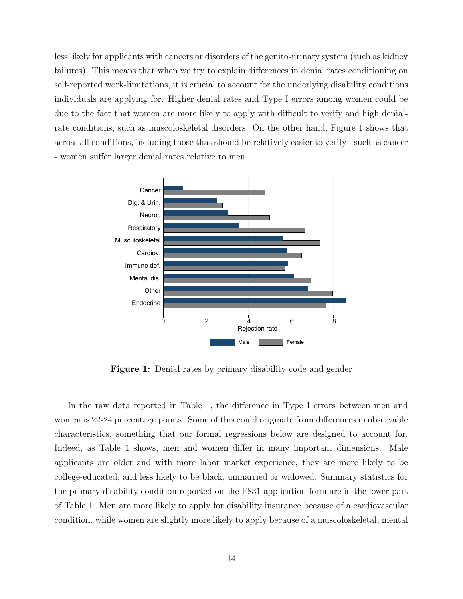less likely for applicants with cancers or disorders of the genito-urinary system (such as kidney failures). This means that when we try to explain differences in denial rates conditioning on self-reported work-limitations, it is crucial to account for the underlying disability conditions individuals are applying for. Higher denial rates and Type I errors among women could be due to the fact that women are more likely to apply with difficult to verify and high denialrate conditions, such as muscoloskeletal disorders. On the other hand, Figure 1 shows that across all conditions, including those that should be relatively easier to verify - such as cancer - women suffer larger denial rates relative to men.



Figure 1: Denial rates by primary disability code and gender

In the raw data reported in Table 1, the difference in Type I errors between men and women is 22-24 percentage points. Some of this could originate from differences in observable characteristics, something that our formal regressions below are designed to account for. Indeed, as Table 1 shows, men and women differ in many important dimensions. Male applicants are older and with more labor market experience, they are more likely to be college-educated, and less likely to be black, unmarried or widowed. Summary statistics for the primary disability condition reported on the F831 application form are in the lower part of Table 1. Men are more likely to apply for disability insurance because of a cardiovascular condition, while women are slightly more likely to apply because of a muscoloskeletal, mental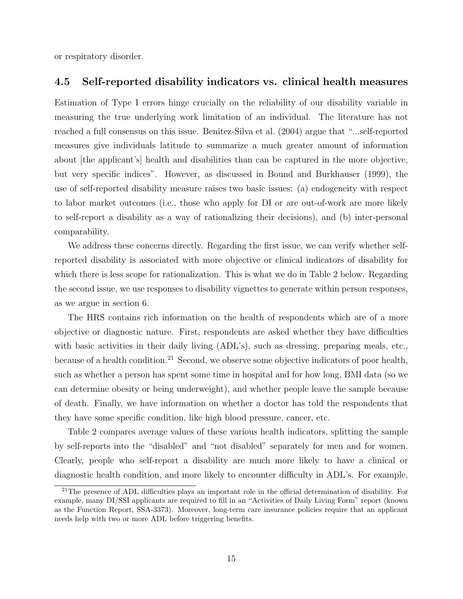or respiratory disorder.

#### 4.5 Self-reported disability indicators vs. clinical health measures

Estimation of Type I errors hinge crucially on the reliability of our disability variable in measuring the true underlying work limitation of an individual. The literature has not reached a full consensus on this issue. Benitez-Silva et al. (2004) argue that "...self-reported measures give individuals latitude to summarize a much greater amount of information about [the applicant's] health and disabilities than can be captured in the more objective, but very specific indices". However, as discussed in Bound and Burkhauser (1999), the use of self-reported disability measure raises two basic issues: (a) endogeneity with respect to labor market outcomes (i.e., those who apply for DI or are out-of-work are more likely to self-report a disability as a way of rationalizing their decisions), and (b) inter-personal comparability.

We address these concerns directly. Regarding the first issue, we can verify whether selfreported disability is associated with more objective or clinical indicators of disability for which there is less scope for rationalization. This is what we do in Table 2 below. Regarding the second issue, we use responses to disability vignettes to generate within person responses, as we argue in section 6.

The HRS contains rich information on the health of respondents which are of a more objective or diagnostic nature. First, respondents are asked whether they have difficulties with basic activities in their daily living (ADL's), such as dressing, preparing meals, etc., because of a health condition.<sup>21</sup> Second, we observe some objective indicators of poor health, such as whether a person has spent some time in hospital and for how long, BMI data (so we can determine obesity or being underweight), and whether people leave the sample because of death. Finally, we have information on whether a doctor has told the respondents that they have some specific condition, like high blood pressure, cancer, etc.

Table 2 compares average values of these various health indicators, splitting the sample by self-reports into the "disabled" and "not disabled" separately for men and for women. Clearly, people who self-report a disability are much more likely to have a clinical or diagnostic health condition, and more likely to encounter difficulty in ADL's. For example,

<sup>&</sup>lt;sup>21</sup>The presence of ADL difficulties plays an important role in the official determination of disability. For example, many DI/SSI applicants are required to fill in an "Activities of Daily Living Form" report (known as the Function Report, SSA-3373). Moreover, long-term care insurance policies require that an applicant needs help with two or more ADL before triggering benefits.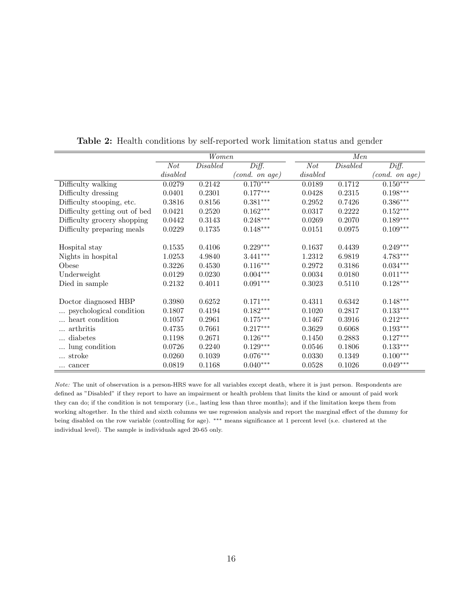|                               | Women            |                 |                            |                  | Men       |                        |  |
|-------------------------------|------------------|-----------------|----------------------------|------------------|-----------|------------------------|--|
|                               | $\overline{Not}$ | <b>Disabled</b> | Diff.                      | $\overline{Not}$ | Disable d | Diff.                  |  |
|                               | disabeled        |                 | $(cond. \textit{ on age})$ | disabeled        |           | (cond. on age)         |  |
| Difficulty walking            | 0.0279           | 0.2142          | $0.170***$                 | 0.0189           | 0.1712    | $0.150***$             |  |
| Difficulty dressing           | 0.0401           | 0.2301          | $0.177***$                 | 0.0428           | 0.2315    | $0.198^{\ast\ast\ast}$ |  |
| Difficulty stooping, etc.     | 0.3816           | 0.8156          | $0.381***$                 | 0.2952           | 0.7426    | $0.386^{\ast\ast\ast}$ |  |
| Difficulty getting out of bed | 0.0421           | 0.2520          | $0.162***$                 | 0.0317           | 0.2222    | $0.152***$             |  |
| Difficulty grocery shopping   | 0.0442           | 0.3143          | $0.248***$                 | 0.0269           | 0.2070    | $0.189***$             |  |
| Difficulty preparing meals    | 0.0229           | 0.1735          | $0.148***$                 | 0.0151           | 0.0975    | $0.109***$             |  |
|                               |                  |                 |                            |                  |           |                        |  |
| Hospital stay                 | 0.1535           | 0.4106          | $0.229***$                 | 0.1637           | 0.4439    | $0.249***$             |  |
| Nights in hospital            | 1.0253           | 4.9840          | $3.441***$                 | 1.2312           | 6.9819    | $4.783***$             |  |
| Obese                         | 0.3226           | 0.4530          | $0.116***$                 | 0.2972           | 0.3186    | $0.034***$             |  |
| Underweight                   | 0.0129           | 0.0230          | $0.004***$                 | 0.0034           | 0.0180    | $0.011***$             |  |
| Died in sample                | 0.2132           | 0.4011          | $0.091***$                 | 0.3023           | 0.5110    | $0.128***$             |  |
|                               |                  |                 |                            |                  |           |                        |  |
| Doctor diagnosed HBP          | 0.3980           | 0.6252          | $0.171***$                 | 0.4311           | 0.6342    | $0.148***$             |  |
| psychological condition       | 0.1807           | 0.4194          | $0.182***$                 | 0.1020           | 0.2817    | $0.133***$             |  |
| heart condition               | 0.1057           | 0.2961          | $0.175^{***}\,$            | 0.1467           | 0.3916    | $0.212***$             |  |
| arthritis                     | 0.4735           | 0.7661          | $0.217***$                 | 0.3629           | 0.6068    | $0.193^{\ast\ast\ast}$ |  |
| diabetes                      | 0.1198           | 0.2671          | $0.126***$                 | 0.1450           | 0.2883    | $0.127***$             |  |
| lung condition                | 0.0726           | 0.2240          | $0.129***$                 | 0.0546           | 0.1806    | $0.133^{***}\,$        |  |
| stroke                        | 0.0260           | 0.1039          | $0.076***$                 | 0.0330           | 0.1349    | $0.100***$             |  |
| cancer                        | 0.0819           | 0.1168          | $0.040***$                 | 0.0528           | 0.1026    | $0.049***$             |  |

Table 2: Health conditions by self-reported work limitation status and gender

Note: The unit of observation is a person-HRS wave for all variables except death, where it is just person. Respondents are defined as "Disabled" if they report to have an impairment or health problem that limits the kind or amount of paid work they can do; if the condition is not temporary (i.e., lasting less than three months); and if the limitation keeps them from working altogether. In the third and sixth columns we use regression analysis and report the marginal effect of the dummy for being disabled on the row variable (controlling for age). ∗∗∗ means significance at 1 percent level (s.e. clustered at the individual level). The sample is individuals aged 20-65 only.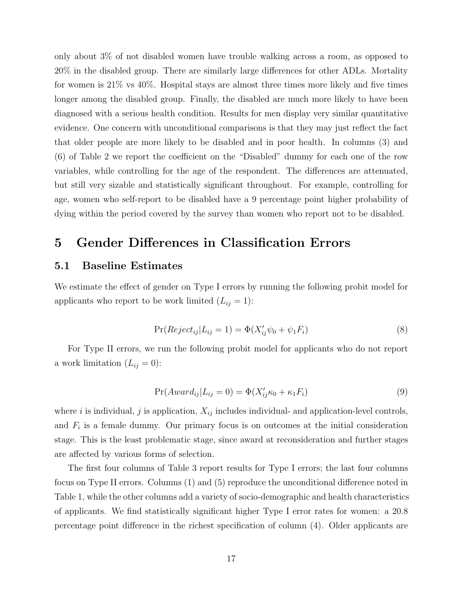only about 3% of not disabled women have trouble walking across a room, as opposed to 20% in the disabled group. There are similarly large differences for other ADLs. Mortality for women is 21% vs 40%. Hospital stays are almost three times more likely and five times longer among the disabled group. Finally, the disabled are much more likely to have been diagnosed with a serious health condition. Results for men display very similar quantitative evidence. One concern with unconditional comparisons is that they may just reflect the fact that older people are more likely to be disabled and in poor health. In columns (3) and (6) of Table 2 we report the coefficient on the "Disabled" dummy for each one of the row variables, while controlling for the age of the respondent. The differences are attenuated, but still very sizable and statistically significant throughout. For example, controlling for age, women who self-report to be disabled have a 9 percentage point higher probability of dying within the period covered by the survey than women who report not to be disabled.

## 5 Gender Differences in Classification Errors

### 5.1 Baseline Estimates

We estimate the effect of gender on Type I errors by running the following probit model for applicants who report to be work limited  $(L_{ij} = 1)$ :

$$
Pr(Reject_{ij}|L_{ij} = 1) = \Phi(X'_{ij}\psi_0 + \psi_1 F_i)
$$
\n
$$
(8)
$$

For Type II errors, we run the following probit model for applicants who do not report a work limitation  $(L_{ij} = 0)$ :

$$
Pr(Award_{ij}|L_{ij} = 0) = \Phi(X'_{ij}\kappa_0 + \kappa_1 F_i)
$$
\n(9)

where i is individual, j is application,  $X_{ij}$  includes individual- and application-level controls, and  $F_i$  is a female dummy. Our primary focus is on outcomes at the initial consideration stage. This is the least problematic stage, since award at reconsideration and further stages are affected by various forms of selection.

The first four columns of Table 3 report results for Type I errors; the last four columns focus on Type II errors. Columns (1) and (5) reproduce the unconditional difference noted in Table 1, while the other columns add a variety of socio-demographic and health characteristics of applicants. We find statistically significant higher Type I error rates for women: a 20.8 percentage point difference in the richest specification of column (4). Older applicants are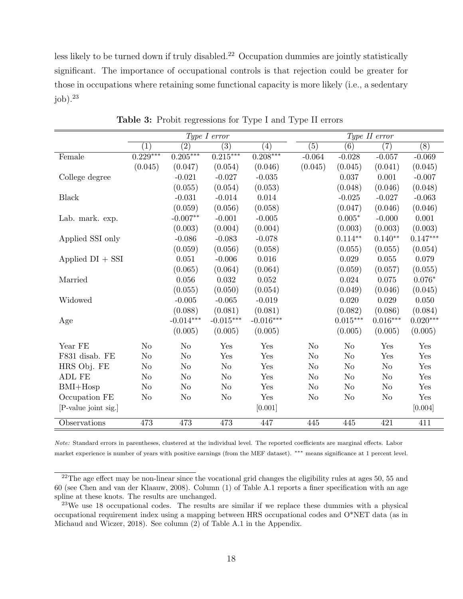less likely to be turned down if truly disabled.<sup>22</sup> Occupation dummies are jointly statistically significant. The importance of occupational controls is that rejection could be greater for those in occupations where retaining some functional capacity is more likely (i.e., a sedentary  $j$ <sub>ob</sub> $)$ .<sup>23</sup>

|                      | Type I error     |                  |                  |                   | Type II error  |                  |                 |            |
|----------------------|------------------|------------------|------------------|-------------------|----------------|------------------|-----------------|------------|
|                      | $\left(1\right)$ | $\overline{(2)}$ | $\overline{(3)}$ | $\left( 4\right)$ | (5)            | $\overline{(6)}$ | (7)             | (8)        |
| Female               | $0.229***$       | $0.205***$       | $0.215***$       | $0.208***$        | $-0.064$       | $-0.028$         | $-0.057$        | $-0.069$   |
|                      | (0.045)          | (0.047)          | (0.054)          | (0.046)           | (0.045)        | (0.045)          | (0.041)         | (0.045)    |
| College degree       |                  | $-0.021$         | $-0.027$         | $-0.035$          |                | 0.037            | 0.001           | $-0.007$   |
|                      |                  | (0.055)          | (0.054)          | (0.053)           |                | (0.048)          | (0.046)         | (0.048)    |
| <b>Black</b>         |                  | $-0.031$         | $-0.014$         | 0.014             |                | $-0.025$         | $-0.027$        | $-0.063$   |
|                      |                  | (0.059)          | (0.056)          | (0.058)           |                | (0.047)          | (0.046)         | (0.046)    |
| Lab. mark. exp.      |                  | $-0.007**$       | $-0.001$         | $-0.005$          |                | $0.005*$         | $-0.000$        | 0.001      |
|                      |                  | (0.003)          | (0.004)          | (0.004)           |                | (0.003)          | (0.003)         | (0.003)    |
| Applied SSI only     |                  | $-0.086$         | $-0.083$         | $-0.078$          |                | $0.114**$        | $0.140**$       | $0.147***$ |
|                      |                  | (0.059)          | (0.056)          | (0.058)           |                | (0.055)          | (0.055)         | (0.054)    |
| Applied $DI + SST$   |                  | 0.051            | $-0.006$         | $0.016\,$         |                | 0.029            | 0.055           | 0.079      |
|                      |                  | (0.065)          | (0.064)          | (0.064)           |                | (0.059)          | (0.057)         | (0.055)    |
| Married              |                  | 0.056            | 0.032            | 0.052             |                | 0.024            | 0.075           | $0.076*$   |
|                      |                  | (0.055)          | (0.050)          | (0.054)           |                | (0.049)          | (0.046)         | (0.045)    |
| Widowed              |                  | $-0.005$         | $-0.065$         | $-0.019$          |                | 0.020            | 0.029           | 0.050      |
|                      |                  | (0.088)          | (0.081)          | (0.081)           |                | (0.082)          | (0.086)         | (0.084)    |
| Age                  |                  | $-0.014***$      | $-0.015***$      | $-0.016***$       |                | $0.015***$       | $0.016^{***}\,$ | $0.020***$ |
|                      |                  | (0.005)          | (0.005)          | (0.005)           |                | (0.005)          | (0.005)         | (0.005)    |
| Year FE              | N <sub>o</sub>   | N <sub>o</sub>   | Yes              | Yes               | No             | N <sub>o</sub>   | Yes             | Yes        |
| F831 disab. FE       | No               | No               | Yes              | Yes               | N <sub>o</sub> | N <sub>o</sub>   | Yes             | Yes        |
| HRS Obj. FE          | No               | N <sub>o</sub>   | N <sub>o</sub>   | Yes               | N <sub>o</sub> | N <sub>o</sub>   | No              | Yes        |
| ADL FE               | N <sub>o</sub>   | N <sub>o</sub>   | No               | Yes               | No             | N <sub>o</sub>   | N <sub>o</sub>  | Yes        |
| $BMI+Hosp$           | N <sub>o</sub>   | No               | N <sub>o</sub>   | Yes               | N <sub>o</sub> | N <sub>o</sub>   | No              | Yes        |
| Occupation FE        | N <sub>o</sub>   | N <sub>o</sub>   | N <sub>o</sub>   | Yes               | N <sub>o</sub> | N <sub>o</sub>   | N <sub>o</sub>  | Yes        |
| [P-value joint sig.] |                  |                  |                  | [0.001]           |                |                  |                 | [0.004]    |
| Observations         | 473              | 473              | 473              | 447               | 445            | 445              | 421             | 411        |

Table 3: Probit regressions for Type I and Type II errors

Note: Standard errors in parentheses, clustered at the individual level. The reported coefficients are marginal effects. Labor market experience is number of years with positive earnings (from the MEF dataset). ∗∗∗ means significance at 1 percent level.

 $22$ The age effect may be non-linear since the vocational grid changes the eligibility rules at ages 50, 55 and 60 (see Chen and van der Klaauw, 2008). Column (1) of Table A.1 reports a finer specification with an age spline at these knots. The results are unchanged.

 $23$ We use 18 occupational codes. The results are similar if we replace these dummies with a physical occupational requirement index using a mapping between HRS occupational codes and O\*NET data (as in Michaud and Wiczer, 2018). See column (2) of Table A.1 in the Appendix.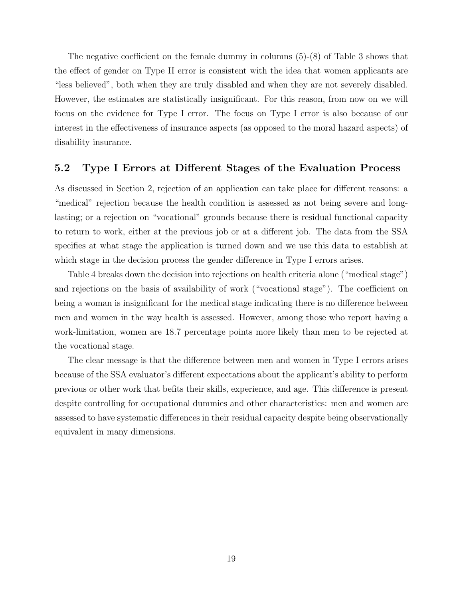The negative coefficient on the female dummy in columns (5)-(8) of Table 3 shows that the effect of gender on Type II error is consistent with the idea that women applicants are "less believed", both when they are truly disabled and when they are not severely disabled. However, the estimates are statistically insignificant. For this reason, from now on we will focus on the evidence for Type I error. The focus on Type I error is also because of our interest in the effectiveness of insurance aspects (as opposed to the moral hazard aspects) of disability insurance.

#### 5.2 Type I Errors at Different Stages of the Evaluation Process

As discussed in Section 2, rejection of an application can take place for different reasons: a "medical" rejection because the health condition is assessed as not being severe and longlasting; or a rejection on "vocational" grounds because there is residual functional capacity to return to work, either at the previous job or at a different job. The data from the SSA specifies at what stage the application is turned down and we use this data to establish at which stage in the decision process the gender difference in Type I errors arises.

Table 4 breaks down the decision into rejections on health criteria alone ("medical stage") and rejections on the basis of availability of work ("vocational stage"). The coefficient on being a woman is insignificant for the medical stage indicating there is no difference between men and women in the way health is assessed. However, among those who report having a work-limitation, women are 18.7 percentage points more likely than men to be rejected at the vocational stage.

The clear message is that the difference between men and women in Type I errors arises because of the SSA evaluator's different expectations about the applicant's ability to perform previous or other work that befits their skills, experience, and age. This difference is present despite controlling for occupational dummies and other characteristics: men and women are assessed to have systematic differences in their residual capacity despite being observationally equivalent in many dimensions.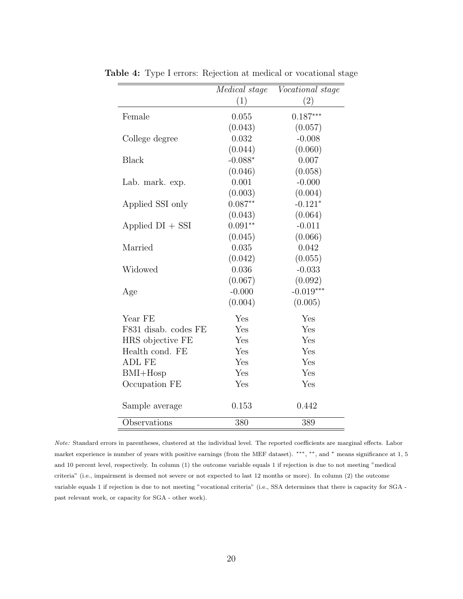|                      | <i>Medical</i> stage | <i>Vocational</i> stage |
|----------------------|----------------------|-------------------------|
|                      | (1)                  | (2)                     |
| Female               | 0.055                | $0.187***$              |
|                      | (0.043)              | (0.057)                 |
| College degree       | 0.032                | $-0.008$                |
|                      | (0.044)              | (0.060)                 |
| Black                | $-0.088*$            | 0.007                   |
|                      | (0.046)              | (0.058)                 |
| Lab. mark. exp.      | 0.001                | $-0.000$                |
|                      | (0.003)              | (0.004)                 |
| Applied SSI only     | $0.087**$            | $-0.121*$               |
|                      | (0.043)              | (0.064)                 |
| Applied $DI + SST$   | $0.091**$            | $-0.011$                |
|                      | (0.045)              | (0.066)                 |
| Married              | 0.035                | 0.042                   |
|                      | (0.042)              | (0.055)                 |
| Widowed              | 0.036                | $-0.033$                |
|                      | (0.067)              | (0.092)                 |
| Age                  | $-0.000$             | $-0.019***$             |
|                      | (0.004)              | (0.005)                 |
| Year FE              | Yes                  | Yes                     |
| F831 disab. codes FE | Yes                  | Yes                     |
| HRS objective FE     | Yes                  | Yes                     |
| Health cond. FE      | Yes                  | Yes                     |
| <b>ADL FE</b>        | Yes                  | Yes                     |
| $BMI+Hosp$           | Yes                  | Yes                     |
| Occupation FE        | Yes                  | Yes                     |
| Sample average       | 0.153                | 0.442                   |
| Observations         | 380                  | 389                     |

Table 4: Type I errors: Rejection at medical or vocational stage

Note: Standard errors in parentheses, clustered at the individual level. The reported coefficients are marginal effects. Labor market experience is number of years with positive earnings (from the MEF dataset). \*\*\*, \*\*, and \* means significance at 1, 5 and 10 percent level, respectively. In column (1) the outcome variable equals 1 if rejection is due to not meeting "medical criteria" (i.e., impairment is deemed not severe or not expected to last 12 months or more). In column (2) the outcome variable equals 1 if rejection is due to not meeting "vocational criteria" (i.e., SSA determines that there is capacity for SGA past relevant work, or capacity for SGA - other work).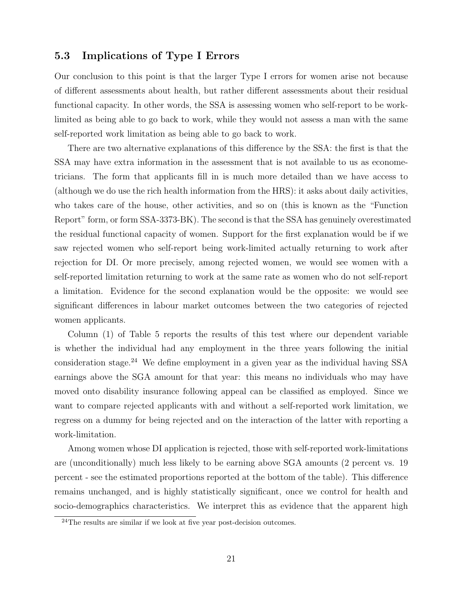### 5.3 Implications of Type I Errors

Our conclusion to this point is that the larger Type I errors for women arise not because of different assessments about health, but rather different assessments about their residual functional capacity. In other words, the SSA is assessing women who self-report to be worklimited as being able to go back to work, while they would not assess a man with the same self-reported work limitation as being able to go back to work.

There are two alternative explanations of this difference by the SSA: the first is that the SSA may have extra information in the assessment that is not available to us as econometricians. The form that applicants fill in is much more detailed than we have access to (although we do use the rich health information from the HRS): it asks about daily activities, who takes care of the house, other activities, and so on (this is known as the "Function Report" form, or form SSA-3373-BK). The second is that the SSA has genuinely overestimated the residual functional capacity of women. Support for the first explanation would be if we saw rejected women who self-report being work-limited actually returning to work after rejection for DI. Or more precisely, among rejected women, we would see women with a self-reported limitation returning to work at the same rate as women who do not self-report a limitation. Evidence for the second explanation would be the opposite: we would see significant differences in labour market outcomes between the two categories of rejected women applicants.

Column (1) of Table 5 reports the results of this test where our dependent variable is whether the individual had any employment in the three years following the initial consideration stage.<sup>24</sup> We define employment in a given year as the individual having SSA earnings above the SGA amount for that year: this means no individuals who may have moved onto disability insurance following appeal can be classified as employed. Since we want to compare rejected applicants with and without a self-reported work limitation, we regress on a dummy for being rejected and on the interaction of the latter with reporting a work-limitation.

Among women whose DI application is rejected, those with self-reported work-limitations are (unconditionally) much less likely to be earning above SGA amounts (2 percent vs. 19 percent - see the estimated proportions reported at the bottom of the table). This difference remains unchanged, and is highly statistically significant, once we control for health and socio-demographics characteristics. We interpret this as evidence that the apparent high

<sup>&</sup>lt;sup>24</sup>The results are similar if we look at five year post-decision outcomes.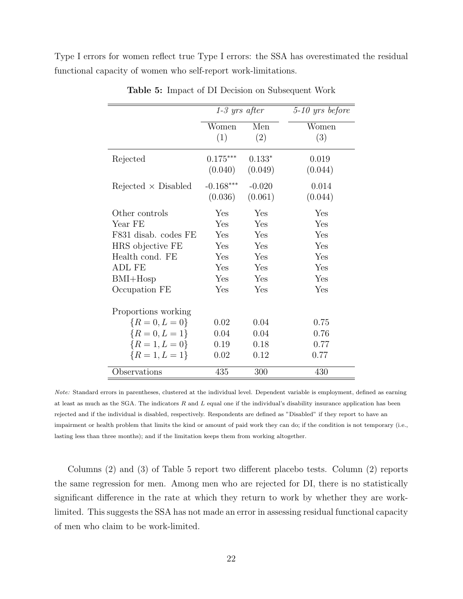Type I errors for women reflect true Type I errors: the SSA has overestimated the residual functional capacity of women who self-report work-limitations.

|                             | $1-3$ yrs after |          | $5-10$ yrs before |
|-----------------------------|-----------------|----------|-------------------|
|                             | Women           | Men      | Women             |
|                             | (1)             | (2)      | (3)               |
| Rejected                    | $0.175***$      | $0.133*$ | 0.019             |
|                             | (0.040)         | (0.049)  | (0.044)           |
| $Rejected \times Disabeled$ | $-0.168***$     | $-0.020$ | 0.014             |
|                             | (0.036)         | (0.061)  | (0.044)           |
| Other controls              | Yes             | Yes      | Yes               |
| Year FE                     | Yes             | Yes      | Yes               |
| F831 disab. codes FE        | Yes             | Yes      | Yes               |
| HRS objective FE            | Yes             | Yes      | Yes               |
| Health cond. FE             | Yes             | Yes      | Yes               |
| <b>ADL FE</b>               | Yes             | Yes      | Yes               |
| $BMI+Hosp$                  | Yes             | Yes      | Yes               |
| Occupation FE               | Yes             | Yes      | Yes               |
| Proportions working         |                 |          |                   |
| ${R = 0, L = 0}$            | 0.02            | 0.04     | 0.75              |
| ${R = 0, L = 1}$            | 0.04            | 0.04     | 0.76              |
| ${R = 1, L = 0}$            | 0.19            | 0.18     | 0.77              |
| ${R=1, L=1}$                | 0.02            | 0.12     | 0.77              |
| Observations                | 435             | 300      | 430               |

Table 5: Impact of DI Decision on Subsequent Work

Note: Standard errors in parentheses, clustered at the individual level. Dependent variable is employment, defined as earning at least as much as the SGA. The indicators  $R$  and  $L$  equal one if the individual's disability insurance application has been rejected and if the individual is disabled, respectively. Respondents are defined as "Disabled" if they report to have an impairment or health problem that limits the kind or amount of paid work they can do; if the condition is not temporary (i.e., lasting less than three months); and if the limitation keeps them from working altogether.

Columns (2) and (3) of Table 5 report two different placebo tests. Column (2) reports the same regression for men. Among men who are rejected for DI, there is no statistically significant difference in the rate at which they return to work by whether they are worklimited. This suggests the SSA has not made an error in assessing residual functional capacity of men who claim to be work-limited.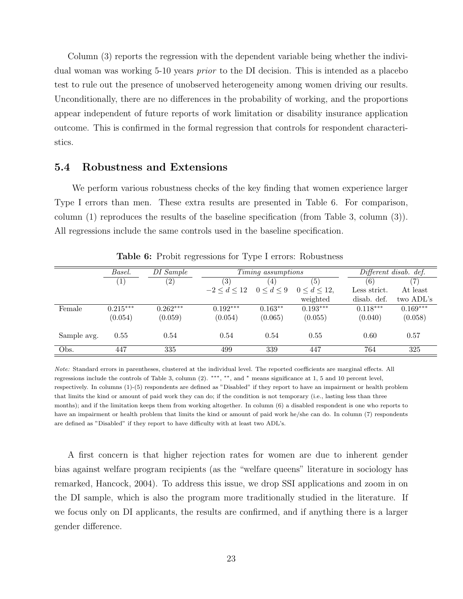Column (3) reports the regression with the dependent variable being whether the individual woman was working 5-10 years prior to the DI decision. This is intended as a placebo test to rule out the presence of unobserved heterogeneity among women driving our results. Unconditionally, there are no differences in the probability of working, and the proportions appear independent of future reports of work limitation or disability insurance application outcome. This is confirmed in the formal regression that controls for respondent characteristics.

#### 5.4 Robustness and Extensions

We perform various robustness checks of the key finding that women experience larger Type I errors than men. These extra results are presented in Table 6. For comparison, column (1) reproduces the results of the baseline specification (from Table 3, column (3)). All regressions include the same controls used in the baseline specification.

|             | Basel.     | DI Sample  |               | Timing assumptions |                      |              | Different disab. def. |  |  |
|-------------|------------|------------|---------------|--------------------|----------------------|--------------|-----------------------|--|--|
|             | $\perp$    | (2)        | (3)           | 4 <sub>1</sub>     | (5)                  | (6)          | '7)                   |  |  |
|             |            |            | $-2 < d < 12$ | 0 < d < 9          | $0 \leq d \leq 12$ . | Less strict. | At least              |  |  |
|             |            |            |               |                    | weighted             | disab. def.  | two ADL's             |  |  |
| Female      | $0.215***$ | $0.262***$ | $0.192***$    | $0.163**$          | $0.193***$           | $0.118***$   | $0.169***$            |  |  |
|             | (0.054)    | (0.059)    | (0.054)       | (0.065)            | (0.055)              | (0.040)      | (0.058)               |  |  |
| Sample avg. | 0.55       | 0.54       | 0.54          | 0.54               | 0.55                 | 0.60         | 0.57                  |  |  |
| Obs.        | 447        | 335        | 499           | 339                | 447                  | 764          | 325                   |  |  |

Table 6: Probit regressions for Type I errors: Robustness

Note: Standard errors in parentheses, clustered at the individual level. The reported coefficients are marginal effects. All regressions include the controls of Table 3, column (2). ∗∗∗, ∗∗, and <sup>∗</sup> means significance at 1, 5 and 10 percent level, respectively. In columns (1)-(5) respondents are defined as "Disabled" if they report to have an impairment or health problem that limits the kind or amount of paid work they can do; if the condition is not temporary (i.e., lasting less than three months); and if the limitation keeps them from working altogether. In column (6) a disabled respondent is one who reports to have an impairment or health problem that limits the kind or amount of paid work he/she can do. In column (7) respondents are defined as "Disabled" if they report to have difficulty with at least two ADL's.

A first concern is that higher rejection rates for women are due to inherent gender bias against welfare program recipients (as the "welfare queens" literature in sociology has remarked, Hancock, 2004). To address this issue, we drop SSI applications and zoom in on the DI sample, which is also the program more traditionally studied in the literature. If we focus only on DI applicants, the results are confirmed, and if anything there is a larger gender difference.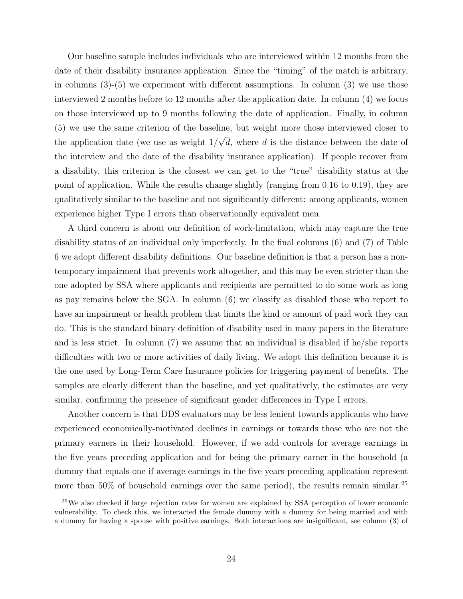Our baseline sample includes individuals who are interviewed within 12 months from the date of their disability insurance application. Since the "timing" of the match is arbitrary, in columns (3)-(5) we experiment with different assumptions. In column (3) we use those interviewed 2 months before to 12 months after the application date. In column (4) we focus on those interviewed up to 9 months following the date of application. Finally, in column (5) we use the same criterion of the baseline, but weight more those interviewed closer to the application date (we use as weight 1/ √ d, where d is the distance between the date of the interview and the date of the disability insurance application). If people recover from a disability, this criterion is the closest we can get to the "true" disability status at the point of application. While the results change slightly (ranging from 0.16 to 0.19), they are qualitatively similar to the baseline and not significantly different: among applicants, women experience higher Type I errors than observationally equivalent men.

A third concern is about our definition of work-limitation, which may capture the true disability status of an individual only imperfectly. In the final columns (6) and (7) of Table 6 we adopt different disability definitions. Our baseline definition is that a person has a nontemporary impairment that prevents work altogether, and this may be even stricter than the one adopted by SSA where applicants and recipients are permitted to do some work as long as pay remains below the SGA. In column (6) we classify as disabled those who report to have an impairment or health problem that limits the kind or amount of paid work they can do. This is the standard binary definition of disability used in many papers in the literature and is less strict. In column (7) we assume that an individual is disabled if he/she reports difficulties with two or more activities of daily living. We adopt this definition because it is the one used by Long-Term Care Insurance policies for triggering payment of benefits. The samples are clearly different than the baseline, and yet qualitatively, the estimates are very similar, confirming the presence of significant gender differences in Type I errors.

Another concern is that DDS evaluators may be less lenient towards applicants who have experienced economically-motivated declines in earnings or towards those who are not the primary earners in their household. However, if we add controls for average earnings in the five years preceding application and for being the primary earner in the household (a dummy that equals one if average earnings in the five years preceding application represent more than 50% of household earnings over the same period), the results remain similar.<sup>25</sup>

<sup>25</sup>We also checked if large rejection rates for women are explained by SSA perception of lower economic vulnerability. To check this, we interacted the female dummy with a dummy for being married and with a dummy for having a spouse with positive earnings. Both interactions are insignificant, see column (3) of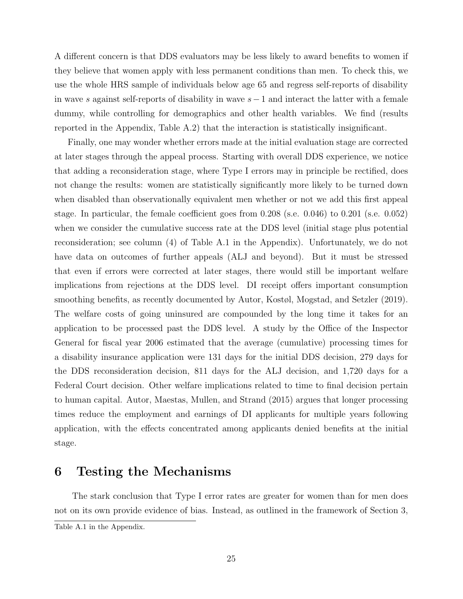A different concern is that DDS evaluators may be less likely to award benefits to women if they believe that women apply with less permanent conditions than men. To check this, we use the whole HRS sample of individuals below age 65 and regress self-reports of disability in wave s against self-reports of disability in wave  $s-1$  and interact the latter with a female dummy, while controlling for demographics and other health variables. We find (results reported in the Appendix, Table A.2) that the interaction is statistically insignificant.

Finally, one may wonder whether errors made at the initial evaluation stage are corrected at later stages through the appeal process. Starting with overall DDS experience, we notice that adding a reconsideration stage, where Type I errors may in principle be rectified, does not change the results: women are statistically significantly more likely to be turned down when disabled than observationally equivalent men whether or not we add this first appeal stage. In particular, the female coefficient goes from 0.208 (s.e. 0.046) to 0.201 (s.e. 0.052) when we consider the cumulative success rate at the DDS level (initial stage plus potential reconsideration; see column (4) of Table A.1 in the Appendix). Unfortunately, we do not have data on outcomes of further appeals (ALJ and beyond). But it must be stressed that even if errors were corrected at later stages, there would still be important welfare implications from rejections at the DDS level. DI receipt offers important consumption smoothing benefits, as recently documented by Autor, Kostøl, Mogstad, and Setzler (2019). The welfare costs of going uninsured are compounded by the long time it takes for an application to be processed past the DDS level. A study by the Office of the Inspector General for fiscal year 2006 estimated that the average (cumulative) processing times for a disability insurance application were 131 days for the initial DDS decision, 279 days for the DDS reconsideration decision, 811 days for the ALJ decision, and 1,720 days for a Federal Court decision. Other welfare implications related to time to final decision pertain to human capital. Autor, Maestas, Mullen, and Strand (2015) argues that longer processing times reduce the employment and earnings of DI applicants for multiple years following application, with the effects concentrated among applicants denied benefits at the initial stage.

## 6 Testing the Mechanisms

The stark conclusion that Type I error rates are greater for women than for men does not on its own provide evidence of bias. Instead, as outlined in the framework of Section 3,

Table A.1 in the Appendix.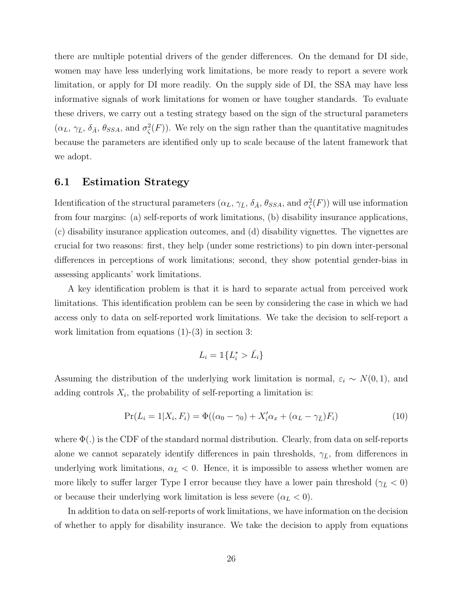there are multiple potential drivers of the gender differences. On the demand for DI side, women may have less underlying work limitations, be more ready to report a severe work limitation, or apply for DI more readily. On the supply side of DI, the SSA may have less informative signals of work limitations for women or have tougher standards. To evaluate these drivers, we carry out a testing strategy based on the sign of the structural parameters  $(\alpha_L, \gamma_{\bar{L}}, \delta_{\bar{A}}, \theta_{SSA}, \text{ and } \sigma_{\zeta}^2(F))$ . We rely on the sign rather than the quantitative magnitudes because the parameters are identified only up to scale because of the latent framework that we adopt.

#### 6.1 Estimation Strategy

Identification of the structural parameters  $(\alpha_L, \gamma_{\bar{L}}, \delta_{\bar{A}}, \theta_{SSA}, \text{ and } \sigma_{\zeta}^2(F))$  will use information from four margins: (a) self-reports of work limitations, (b) disability insurance applications, (c) disability insurance application outcomes, and (d) disability vignettes. The vignettes are crucial for two reasons: first, they help (under some restrictions) to pin down inter-personal differences in perceptions of work limitations; second, they show potential gender-bias in assessing applicants' work limitations.

A key identification problem is that it is hard to separate actual from perceived work limitations. This identification problem can be seen by considering the case in which we had access only to data on self-reported work limitations. We take the decision to self-report a work limitation from equations  $(1)-(3)$  in section 3:

$$
L_i = \mathbbm{1}\{L_i^* > \bar{L}_i\}
$$

Assuming the distribution of the underlying work limitation is normal,  $\varepsilon_i \sim N(0, 1)$ , and adding controls  $X_i$ , the probability of self-reporting a limitation is:

$$
Pr(L_i = 1 | X_i, F_i) = \Phi((\alpha_0 - \gamma_0) + X_i'\alpha_x + (\alpha_L - \gamma_{\bar{L}})F_i)
$$
\n(10)

where  $\Phi(.)$  is the CDF of the standard normal distribution. Clearly, from data on self-reports alone we cannot separately identify differences in pain thresholds,  $\gamma_{\bar{L}}$ , from differences in underlying work limitations,  $\alpha_L < 0$ . Hence, it is impossible to assess whether women are more likely to suffer larger Type I error because they have a lower pain threshold ( $\gamma_{\bar{L}} < 0$ ) or because their underlying work limitation is less severe  $(\alpha_L < 0)$ .

In addition to data on self-reports of work limitations, we have information on the decision of whether to apply for disability insurance. We take the decision to apply from equations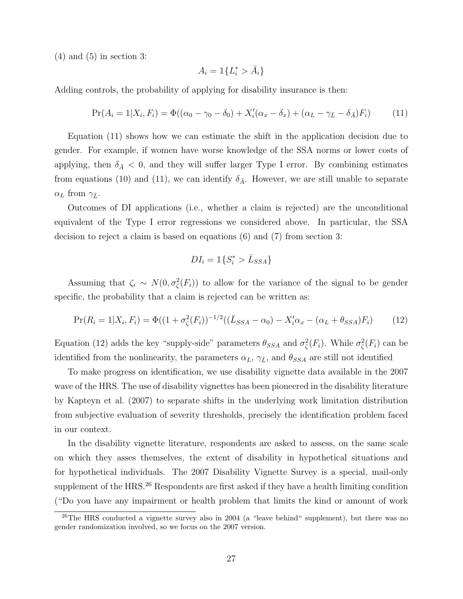$(4)$  and  $(5)$  in section 3:

$$
A_i = \mathbb{1}\{L_i^* > \bar{A}_i\}
$$

Adding controls, the probability of applying for disability insurance is then:

$$
Pr(A_i = 1 | X_i, F_i) = \Phi((\alpha_0 - \gamma_0 - \delta_0) + X_i'(\alpha_x - \delta_x) + (\alpha_L - \gamma_{\bar{L}} - \delta_{\bar{A}})F_i)
$$
(11)

Equation (11) shows how we can estimate the shift in the application decision due to gender. For example, if women have worse knowledge of the SSA norms or lower costs of applying, then  $\delta_{\bar{A}} < 0$ , and they will suffer larger Type I error. By combining estimates from equations (10) and (11), we can identify  $\delta_{\bar{A}}$ . However, we are still unable to separate  $\alpha_L$  from  $\gamma_{\bar{L}}$ .

Outcomes of DI applications (i.e., whether a claim is rejected) are the unconditional equivalent of the Type I error regressions we considered above. In particular, the SSA decision to reject a claim is based on equations (6) and (7) from section 3:

$$
DI_i = \mathbb{1}\{S_i^* > \bar{L}_{SSA}\}
$$

Assuming that  $\zeta_i \sim N(0, \sigma_{\zeta}^2(F_i))$  to allow for the variance of the signal to be gender specific, the probability that a claim is rejected can be written as:

$$
\Pr(R_i = 1 | X_i, F_i) = \Phi((1 + \sigma_{\zeta}^2(F_i))^{-1/2}((\bar{L}_{SSA} - \alpha_0) - X_i'\alpha_x - (\alpha_L + \theta_{SSA})F_i)
$$
(12)

Equation (12) adds the key "supply-side" parameters  $\theta_{SSA}$  and  $\sigma_{\zeta}^2(F_i)$ . While  $\sigma_{\zeta}^2(F_i)$  can be identified from the nonlinearity, the parameters  $\alpha_L$ ,  $\gamma_{\bar{L}}$ , and  $\theta_{SSA}$  are still not identified

To make progress on identification, we use disability vignette data available in the 2007 wave of the HRS. The use of disability vignettes has been pioneered in the disability literature by Kapteyn et al. (2007) to separate shifts in the underlying work limitation distribution from subjective evaluation of severity thresholds, precisely the identification problem faced in our context.

In the disability vignette literature, respondents are asked to assess, on the same scale on which they asses themselves, the extent of disability in hypothetical situations and for hypothetical individuals. The 2007 Disability Vignette Survey is a special, mail-only supplement of the HRS.<sup>26</sup> Respondents are first asked if they have a health limiting condition ("Do you have any impairment or health problem that limits the kind or amount of work

<sup>&</sup>lt;sup>26</sup>The HRS conducted a vignette survey also in 2004 (a "leave behind" supplement), but there was no gender randomization involved, so we focus on the 2007 version.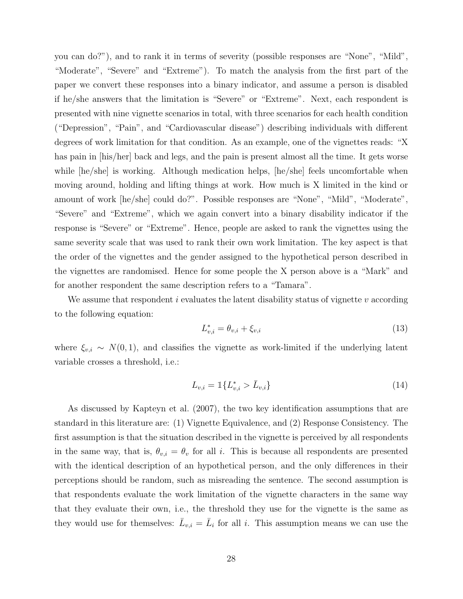you can do?"), and to rank it in terms of severity (possible responses are "None", "Mild", "Moderate", "Severe" and "Extreme"). To match the analysis from the first part of the paper we convert these responses into a binary indicator, and assume a person is disabled if he/she answers that the limitation is "Severe" or "Extreme". Next, each respondent is presented with nine vignette scenarios in total, with three scenarios for each health condition ("Depression", "Pain", and "Cardiovascular disease") describing individuals with different degrees of work limitation for that condition. As an example, one of the vignettes reads: "X has pain in  $\vert$ his/her $\vert$  back and legs, and the pain is present almost all the time. It gets worse while  $\left|he/\text{she}\right|$  is working. Although medication helps,  $\left|he/\text{she}\right|$  feels uncomfortable when moving around, holding and lifting things at work. How much is X limited in the kind or amount of work [he/she] could do?". Possible responses are "None", "Mild", "Moderate", "Severe" and "Extreme", which we again convert into a binary disability indicator if the response is "Severe" or "Extreme". Hence, people are asked to rank the vignettes using the same severity scale that was used to rank their own work limitation. The key aspect is that the order of the vignettes and the gender assigned to the hypothetical person described in the vignettes are randomised. Hence for some people the X person above is a "Mark" and for another respondent the same description refers to a "Tamara".

We assume that respondent i evaluates the latent disability status of vignette  $v$  according to the following equation:

$$
L_{v,i}^* = \theta_{v,i} + \xi_{v,i}
$$
\n(13)

where  $\xi_{v,i} \sim N(0, 1)$ , and classifies the vignette as work-limited if the underlying latent variable crosses a threshold, i.e.:

$$
L_{v,i} = \mathbb{1}\{L_{v,i}^* > \bar{L}_{v,i}\}\tag{14}
$$

As discussed by Kapteyn et al. (2007), the two key identification assumptions that are standard in this literature are: (1) Vignette Equivalence, and (2) Response Consistency. The first assumption is that the situation described in the vignette is perceived by all respondents in the same way, that is,  $\theta_{v,i} = \theta_v$  for all i. This is because all respondents are presented with the identical description of an hypothetical person, and the only differences in their perceptions should be random, such as misreading the sentence. The second assumption is that respondents evaluate the work limitation of the vignette characters in the same way that they evaluate their own, i.e., the threshold they use for the vignette is the same as they would use for themselves:  $\bar{L}_{v,i} = \bar{L}_i$  for all i. This assumption means we can use the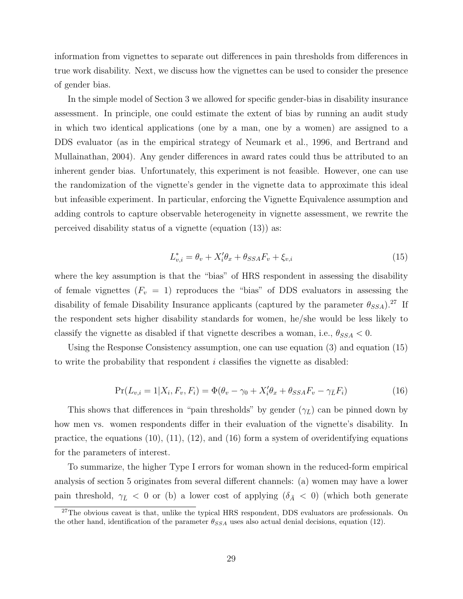information from vignettes to separate out differences in pain thresholds from differences in true work disability. Next, we discuss how the vignettes can be used to consider the presence of gender bias.

In the simple model of Section 3 we allowed for specific gender-bias in disability insurance assessment. In principle, one could estimate the extent of bias by running an audit study in which two identical applications (one by a man, one by a women) are assigned to a DDS evaluator (as in the empirical strategy of Neumark et al., 1996, and Bertrand and Mullainathan, 2004). Any gender differences in award rates could thus be attributed to an inherent gender bias. Unfortunately, this experiment is not feasible. However, one can use the randomization of the vignette's gender in the vignette data to approximate this ideal but infeasible experiment. In particular, enforcing the Vignette Equivalence assumption and adding controls to capture observable heterogeneity in vignette assessment, we rewrite the perceived disability status of a vignette (equation (13)) as:

$$
L_{v,i}^* = \theta_v + X_i'\theta_x + \theta_{SSA}F_v + \xi_{v,i}
$$
\n<sup>(15)</sup>

where the key assumption is that the "bias" of HRS respondent in assessing the disability of female vignettes  $(F_v = 1)$  reproduces the "bias" of DDS evaluators in assessing the disability of female Disability Insurance applicants (captured by the parameter  $\theta_{SSA}$ ).<sup>27</sup> If the respondent sets higher disability standards for women, he/she would be less likely to classify the vignette as disabled if that vignette describes a woman, i.e.,  $\theta_{SSA} < 0$ .

Using the Response Consistency assumption, one can use equation (3) and equation (15) to write the probability that respondent i classifies the vignette as disabled:

$$
Pr(L_{v,i} = 1 | X_i, F_v, F_i) = \Phi(\theta_v - \gamma_0 + X_i'\theta_x + \theta_{SSA}F_v - \gamma_{\bar{L}}F_i)
$$
\n(16)

This shows that differences in "pain thresholds" by gender  $(\gamma_{\bar{L}})$  can be pinned down by how men vs. women respondents differ in their evaluation of the vignette's disability. In practice, the equations  $(10)$ ,  $(11)$ ,  $(12)$ , and  $(16)$  form a system of overidentifying equations for the parameters of interest.

To summarize, the higher Type I errors for woman shown in the reduced-form empirical analysis of section 5 originates from several different channels: (a) women may have a lower pain threshold,  $\gamma_{\bar{L}}$  < 0 or (b) a lower cost of applying  $(\delta_{\bar{A}}$  < 0) (which both generate

 $27$ The obvious caveat is that, unlike the typical HRS respondent, DDS evaluators are professionals. On the other hand, identification of the parameter  $\theta_{SSA}$  uses also actual denial decisions, equation (12).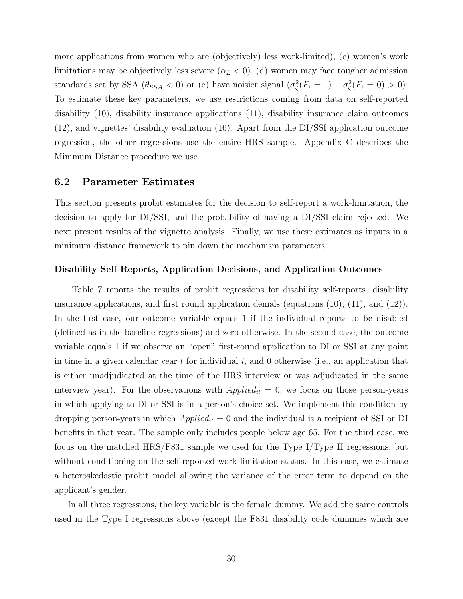more applications from women who are (objectively) less work-limited), (c) women's work limitations may be objectively less severe  $(\alpha_L < 0)$ , (d) women may face tougher admission standards set by SSA  $(\theta_{SSA} < 0)$  or (e) have noisier signal  $(\sigma_{\zeta}^2(F_i = 1) - \sigma_{\zeta}^2(F_i = 0) > 0)$ . To estimate these key parameters, we use restrictions coming from data on self-reported disability (10), disability insurance applications (11), disability insurance claim outcomes (12), and vignettes' disability evaluation (16). Apart from the DI/SSI application outcome regression, the other regressions use the entire HRS sample. Appendix C describes the Minimum Distance procedure we use.

#### 6.2 Parameter Estimates

This section presents probit estimates for the decision to self-report a work-limitation, the decision to apply for DI/SSI, and the probability of having a DI/SSI claim rejected. We next present results of the vignette analysis. Finally, we use these estimates as inputs in a minimum distance framework to pin down the mechanism parameters.

#### Disability Self-Reports, Application Decisions, and Application Outcomes

Table 7 reports the results of probit regressions for disability self-reports, disability insurance applications, and first round application denials (equations (10), (11), and (12)). In the first case, our outcome variable equals 1 if the individual reports to be disabled (defined as in the baseline regressions) and zero otherwise. In the second case, the outcome variable equals 1 if we observe an "open" first-round application to DI or SSI at any point in time in a given calendar year  $t$  for individual  $i$ , and 0 otherwise (i.e., an application that is either unadjudicated at the time of the HRS interview or was adjudicated in the same interview year). For the observations with  $Applied_{it} = 0$ , we focus on those person-years in which applying to DI or SSI is in a person's choice set. We implement this condition by dropping person-years in which  $Applied_{it} = 0$  and the individual is a recipient of SSI or DI benefits in that year. The sample only includes people below age 65. For the third case, we focus on the matched HRS/F831 sample we used for the Type I/Type II regressions, but without conditioning on the self-reported work limitation status. In this case, we estimate a heteroskedastic probit model allowing the variance of the error term to depend on the applicant's gender.

In all three regressions, the key variable is the female dummy. We add the same controls used in the Type I regressions above (except the F831 disability code dummies which are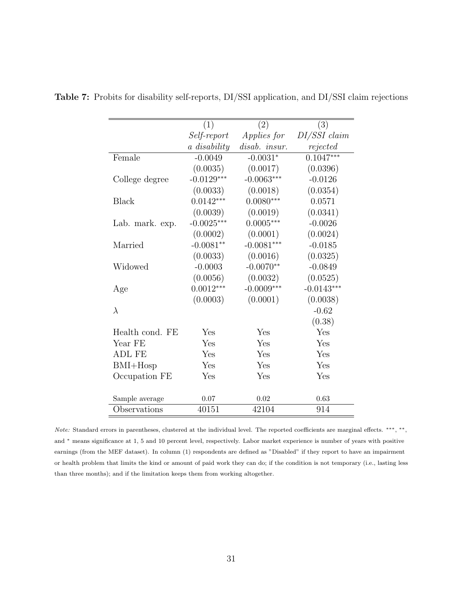|                 | (1)          | (2)                | (3)          |
|-----------------|--------------|--------------------|--------------|
|                 | Self-report  | <i>Applies for</i> | DI/SSI claim |
|                 | a disability | disab. insur.      | rejected     |
| Female          | $-0.0049$    | $-0.0031*$         | $0.1047***$  |
|                 | (0.0035)     | (0.0017)           | (0.0396)     |
| College degree  | $-0.0129***$ | $-0.0063***$       | $-0.0126$    |
|                 | (0.0033)     | (0.0018)           | (0.0354)     |
| <b>Black</b>    | $0.0142***$  | $0.0080***$        | 0.0571       |
|                 | (0.0039)     | (0.0019)           | (0.0341)     |
| Lab. mark. exp. | $-0.0025***$ | $0.0005***$        | $-0.0026$    |
|                 | (0.0002)     | (0.0001)           | (0.0024)     |
| Married         | $-0.0081**$  | $-0.0081***$       | $-0.0185$    |
|                 | (0.0033)     | (0.0016)           | (0.0325)     |
| Widowed         | $-0.0003$    | $-0.0070**$        | $-0.0849$    |
|                 | (0.0056)     | (0.0032)           | (0.0525)     |
| Age             | $0.0012***$  | $-0.0009***$       | $-0.0143***$ |
|                 | (0.0003)     | (0.0001)           | (0.0038)     |
| $\lambda$       |              |                    | $-0.62$      |
|                 |              |                    | (0.38)       |
| Health cond. FE | Yes          | Yes                | Yes          |
| Year FE         | Yes          | Yes                | Yes          |
| <b>ADL FE</b>   | Yes          | Yes                | Yes          |
| $BMI+Hosp$      | Yes          | Yes                | Yes          |
| Occupation FE   | Yes          | Yes                | Yes          |
|                 |              |                    |              |
| Sample average  | 0.07         | 0.02               | 0.63         |
| Observations    | 40151        | 42104              | 914          |
|                 |              |                    |              |

Table 7: Probits for disability self-reports, DI/SSI application, and DI/SSI claim rejections

Note: Standard errors in parentheses, clustered at the individual level. The reported coefficients are marginal effects. \*\*\*, \*\*, and <sup>∗</sup> means significance at 1, 5 and 10 percent level, respectively. Labor market experience is number of years with positive earnings (from the MEF dataset). In column (1) respondents are defined as "Disabled" if they report to have an impairment or health problem that limits the kind or amount of paid work they can do; if the condition is not temporary (i.e., lasting less than three months); and if the limitation keeps them from working altogether.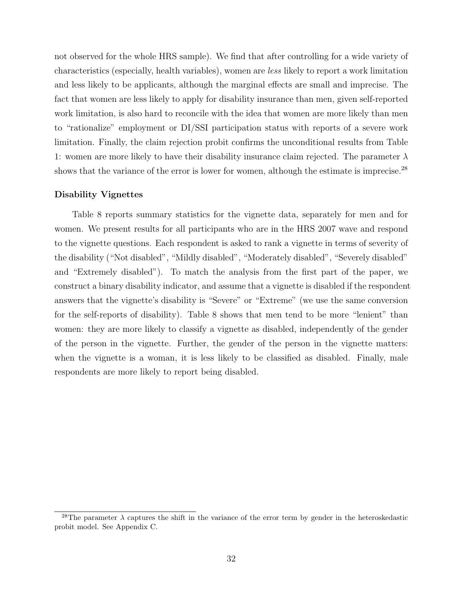not observed for the whole HRS sample). We find that after controlling for a wide variety of characteristics (especially, health variables), women are less likely to report a work limitation and less likely to be applicants, although the marginal effects are small and imprecise. The fact that women are less likely to apply for disability insurance than men, given self-reported work limitation, is also hard to reconcile with the idea that women are more likely than men to "rationalize" employment or DI/SSI participation status with reports of a severe work limitation. Finally, the claim rejection probit confirms the unconditional results from Table 1: women are more likely to have their disability insurance claim rejected. The parameter  $\lambda$ shows that the variance of the error is lower for women, although the estimate is imprecise.<sup>28</sup>

#### Disability Vignettes

Table 8 reports summary statistics for the vignette data, separately for men and for women. We present results for all participants who are in the HRS 2007 wave and respond to the vignette questions. Each respondent is asked to rank a vignette in terms of severity of the disability ("Not disabled", "Mildly disabled", "Moderately disabled", "Severely disabled" and "Extremely disabled"). To match the analysis from the first part of the paper, we construct a binary disability indicator, and assume that a vignette is disabled if the respondent answers that the vignette's disability is "Severe" or "Extreme" (we use the same conversion for the self-reports of disability). Table 8 shows that men tend to be more "lenient" than women: they are more likely to classify a vignette as disabled, independently of the gender of the person in the vignette. Further, the gender of the person in the vignette matters: when the vignette is a woman, it is less likely to be classified as disabled. Finally, male respondents are more likely to report being disabled.

<sup>&</sup>lt;sup>28</sup>The parameter  $\lambda$  captures the shift in the variance of the error term by gender in the heteroskedastic probit model. See Appendix C.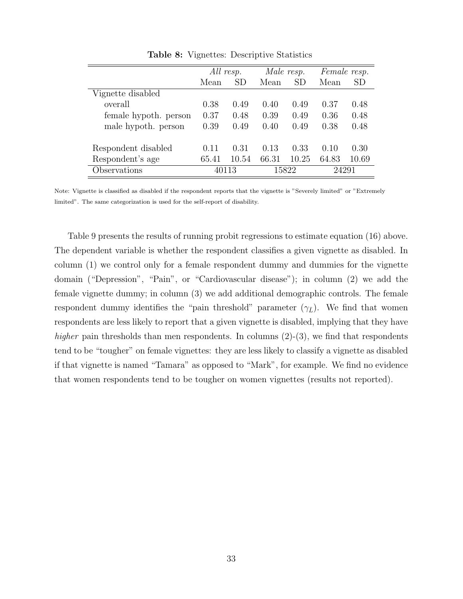|                       | All resp. |           | Male resp. |       |       | Female resp. |
|-----------------------|-----------|-----------|------------|-------|-------|--------------|
|                       | Mean      | <b>SD</b> | Mean       | SD    | Mean  | SD           |
| Vignette disabled     |           |           |            |       |       |              |
| overall               | 0.38      | 0.49      | 0.40       | 0.49  | 0.37  | 0.48         |
| female hypoth. person | 0.37      | 0.48      | 0.39       | 0.49  | 0.36  | 0.48         |
| male hypoth. person   | 0.39      | 0.49      | 0.40       | 0.49  | 0.38  | 0.48         |
|                       |           |           |            |       |       |              |
| Respondent disabled   | 0.11      | 0.31      | 0.13       | 0.33  | 0.10  | 0.30         |
| Respondent's age      | 65.41     | 10.54     | 66.31      | 10.25 | 64.83 | 10.69        |
| Observations          | 40113     |           | 15822      |       | 24291 |              |

Table 8: Vignettes: Descriptive Statistics

Note: Vignette is classified as disabled if the respondent reports that the vignette is "Severely limited" or "Extremely limited". The same categorization is used for the self-report of disability.

Table 9 presents the results of running probit regressions to estimate equation (16) above. The dependent variable is whether the respondent classifies a given vignette as disabled. In column (1) we control only for a female respondent dummy and dummies for the vignette domain ("Depression", "Pain", or "Cardiovascular disease"); in column (2) we add the female vignette dummy; in column (3) we add additional demographic controls. The female respondent dummy identifies the "pain threshold" parameter  $(\gamma_{\bar{L}})$ . We find that women respondents are less likely to report that a given vignette is disabled, implying that they have higher pain thresholds than men respondents. In columns  $(2)-(3)$ , we find that respondents tend to be "tougher" on female vignettes: they are less likely to classify a vignette as disabled if that vignette is named "Tamara" as opposed to "Mark", for example. We find no evidence that women respondents tend to be tougher on women vignettes (results not reported).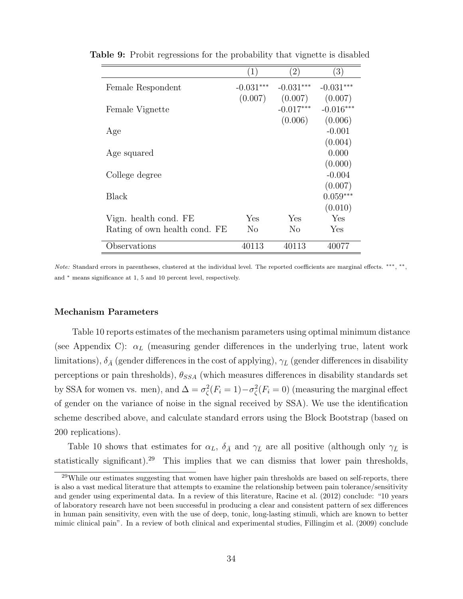| $\left(1\right)$ | $\left( 2\right)$ | $\left(3\right)$ |
|------------------|-------------------|------------------|
| $-0.031***$      | $-0.031***$       | $-0.031***$      |
| (0.007)          | (0.007)           | (0.007)          |
|                  | $-0.017***$       | $-0.016***$      |
|                  | (0.006)           | (0.006)          |
|                  |                   | $-0.001$         |
|                  |                   | (0.004)          |
|                  |                   | 0.000            |
|                  |                   | (0.000)          |
|                  |                   | $-0.004$         |
|                  |                   | (0.007)          |
|                  |                   | $0.059***$       |
|                  |                   | (0.010)          |
| Yes              | Yes               | Yes              |
| No               | No                | Yes              |
|                  |                   | 40077            |
|                  | 40113             | 40113            |

Table 9: Probit regressions for the probability that vignette is disabled

Note: Standard errors in parentheses, clustered at the individual level. The reported coefficients are marginal effects. \*\*\*, \*\*, and <sup>∗</sup> means significance at 1, 5 and 10 percent level, respectively.

#### Mechanism Parameters

Table 10 reports estimates of the mechanism parameters using optimal minimum distance (see Appendix C):  $\alpha_L$  (measuring gender differences in the underlying true, latent work limitations),  $\delta_{\bar{A}}$  (gender differences in the cost of applying),  $\gamma_{\bar{L}}$  (gender differences in disability perceptions or pain thresholds),  $\theta_{SSA}$  (which measures differences in disability standards set by SSA for women vs. men), and  $\Delta = \sigma_{\zeta}^2(F_i = 1) - \sigma_{\zeta}^2(F_i = 0)$  (measuring the marginal effect of gender on the variance of noise in the signal received by SSA). We use the identification scheme described above, and calculate standard errors using the Block Bootstrap (based on 200 replications).

Table 10 shows that estimates for  $\alpha_L$ ,  $\delta_{\bar{A}}$  and  $\gamma_{\bar{L}}$  are all positive (although only  $\gamma_{\bar{L}}$  is statistically significant).<sup>29</sup> This implies that we can dismiss that lower pain thresholds,

<sup>&</sup>lt;sup>29</sup>While our estimates suggesting that women have higher pain thresholds are based on self-reports, there is also a vast medical literature that attempts to examine the relationship between pain tolerance/sensitivity and gender using experimental data. In a review of this literature, Racine et al. (2012) conclude: "10 years of laboratory research have not been successful in producing a clear and consistent pattern of sex differences in human pain sensitivity, even with the use of deep, tonic, long-lasting stimuli, which are known to better mimic clinical pain". In a review of both clinical and experimental studies, Fillingim et al. (2009) conclude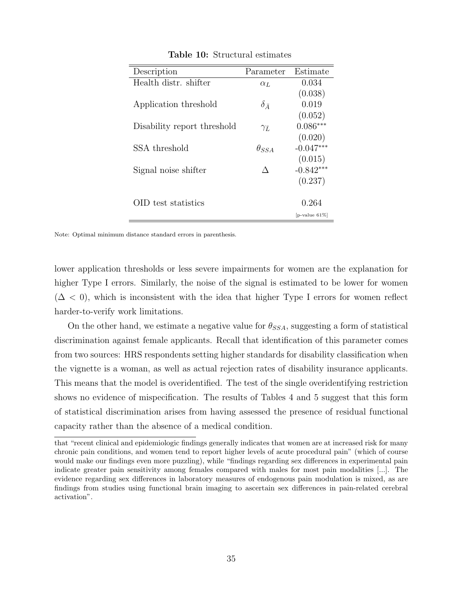| Description                 | Parameter          | Estimate         |
|-----------------------------|--------------------|------------------|
| Health distr. shifter       | $\alpha_L$         | 0.034            |
|                             |                    | (0.038)          |
| Application threshold       | $\delta_{\bar{A}}$ | 0.019            |
|                             |                    | (0.052)          |
| Disability report threshold | $\gamma_{\bar{L}}$ | $0.086***$       |
|                             |                    | (0.020)          |
| SSA threshold               | $\theta_{SSA}$     | $-0.047***$      |
|                             |                    | (0.015)          |
| Signal noise shifter        |                    | $-0.842***$      |
|                             |                    | (0.237)          |
|                             |                    |                  |
| OID test statistics         |                    | 0.264            |
|                             |                    | $[p-value 61\%]$ |

Table 10: Structural estimates

Note: Optimal minimum distance standard errors in parenthesis.

lower application thresholds or less severe impairments for women are the explanation for higher Type I errors. Similarly, the noise of the signal is estimated to be lower for women  $(\Delta < 0)$ , which is inconsistent with the idea that higher Type I errors for women reflect harder-to-verify work limitations.

On the other hand, we estimate a negative value for  $\theta_{SSA}$ , suggesting a form of statistical discrimination against female applicants. Recall that identification of this parameter comes from two sources: HRS respondents setting higher standards for disability classification when the vignette is a woman, as well as actual rejection rates of disability insurance applicants. This means that the model is overidentified. The test of the single overidentifying restriction shows no evidence of mispecification. The results of Tables 4 and 5 suggest that this form of statistical discrimination arises from having assessed the presence of residual functional capacity rather than the absence of a medical condition.

that "recent clinical and epidemiologic findings generally indicates that women are at increased risk for many chronic pain conditions, and women tend to report higher levels of acute procedural pain" (which of course would make our findings even more puzzling), while "findings regarding sex differences in experimental pain indicate greater pain sensitivity among females compared with males for most pain modalities [...]. The evidence regarding sex differences in laboratory measures of endogenous pain modulation is mixed, as are findings from studies using functional brain imaging to ascertain sex differences in pain-related cerebral activation".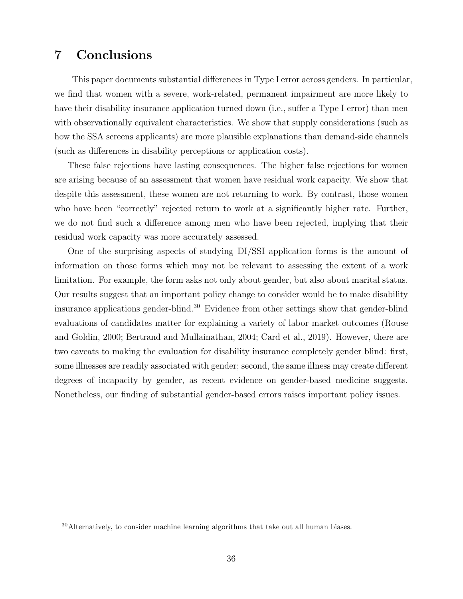# 7 Conclusions

This paper documents substantial differences in Type I error across genders. In particular, we find that women with a severe, work-related, permanent impairment are more likely to have their disability insurance application turned down (i.e., suffer a Type I error) than men with observationally equivalent characteristics. We show that supply considerations (such as how the SSA screens applicants) are more plausible explanations than demand-side channels (such as differences in disability perceptions or application costs).

These false rejections have lasting consequences. The higher false rejections for women are arising because of an assessment that women have residual work capacity. We show that despite this assessment, these women are not returning to work. By contrast, those women who have been "correctly" rejected return to work at a significantly higher rate. Further, we do not find such a difference among men who have been rejected, implying that their residual work capacity was more accurately assessed.

One of the surprising aspects of studying DI/SSI application forms is the amount of information on those forms which may not be relevant to assessing the extent of a work limitation. For example, the form asks not only about gender, but also about marital status. Our results suggest that an important policy change to consider would be to make disability insurance applications gender-blind.<sup>30</sup> Evidence from other settings show that gender-blind evaluations of candidates matter for explaining a variety of labor market outcomes (Rouse and Goldin, 2000; Bertrand and Mullainathan, 2004; Card et al., 2019). However, there are two caveats to making the evaluation for disability insurance completely gender blind: first, some illnesses are readily associated with gender; second, the same illness may create different degrees of incapacity by gender, as recent evidence on gender-based medicine suggests. Nonetheless, our finding of substantial gender-based errors raises important policy issues.

<sup>30</sup>Alternatively, to consider machine learning algorithms that take out all human biases.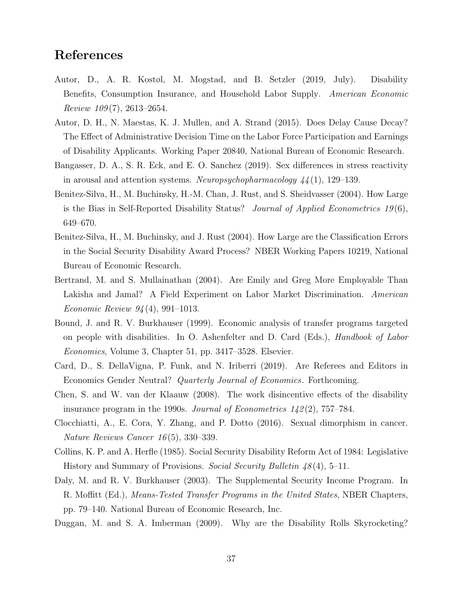## References

- Autor, D., A. R. Kostøl, M. Mogstad, and B. Setzler (2019, July). Disability Benefits, Consumption Insurance, and Household Labor Supply. American Economic Review  $109(7)$ , 2613–2654.
- Autor, D. H., N. Maestas, K. J. Mullen, and A. Strand (2015). Does Delay Cause Decay? The Effect of Administrative Decision Time on the Labor Force Participation and Earnings of Disability Applicants. Working Paper 20840, National Bureau of Economic Research.
- Bangasser, D. A., S. R. Eck, and E. O. Sanchez (2019). Sex differences in stress reactivity in arousal and attention systems. Neuropsychopharmacology  $44(1)$ , 129–139.
- Benitez-Silva, H., M. Buchinsky, H.-M. Chan, J. Rust, and S. Sheidvasser (2004). How Large is the Bias in Self-Reported Disability Status? Journal of Applied Econometrics  $19(6)$ , 649–670.
- Benitez-Silva, H., M. Buchinsky, and J. Rust (2004). How Large are the Classification Errors in the Social Security Disability Award Process? NBER Working Papers 10219, National Bureau of Economic Research.
- Bertrand, M. and S. Mullainathan (2004). Are Emily and Greg More Employable Than Lakisha and Jamal? A Field Experiment on Labor Market Discrimination. American Economic Review 94 (4), 991–1013.
- Bound, J. and R. V. Burkhauser (1999). Economic analysis of transfer programs targeted on people with disabilities. In O. Ashenfelter and D. Card (Eds.), Handbook of Labor Economics, Volume 3, Chapter 51, pp. 3417–3528. Elsevier.
- Card, D., S. DellaVigna, P. Funk, and N. Iriberri (2019). Are Referees and Editors in Economics Gender Neutral? Quarterly Journal of Economics. Forthcoming.
- Chen, S. and W. van der Klaauw (2008). The work disincentive effects of the disability insurance program in the 1990s. Journal of Econometrics  $142(2)$ , 757–784.
- Clocchiatti, A., E. Cora, Y. Zhang, and P. Dotto (2016). Sexual dimorphism in cancer. Nature Reviews Cancer 16 (5), 330–339.
- Collins, K. P. and A. Herfle (1985). Social Security Disability Reform Act of 1984: Legislative History and Summary of Provisions. Social Security Bulletin  $48(4)$ , 5–11.
- Daly, M. and R. V. Burkhauser (2003). The Supplemental Security Income Program. In R. Moffitt (Ed.), Means-Tested Transfer Programs in the United States, NBER Chapters, pp. 79–140. National Bureau of Economic Research, Inc.
- Duggan, M. and S. A. Imberman (2009). Why are the Disability Rolls Skyrocketing?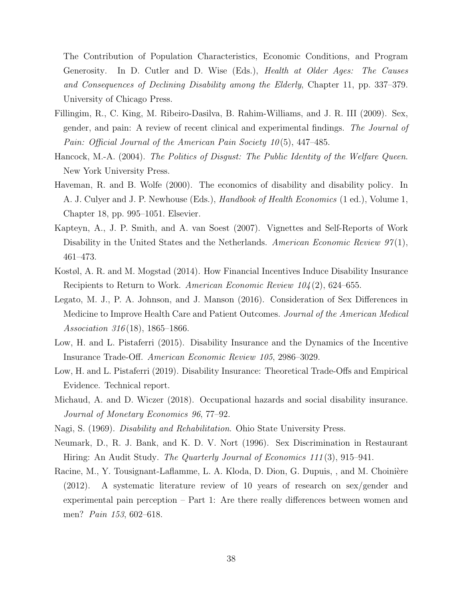The Contribution of Population Characteristics, Economic Conditions, and Program Generosity. In D. Cutler and D. Wise (Eds.), Health at Older Ages: The Causes and Consequences of Declining Disability among the Elderly, Chapter 11, pp. 337–379. University of Chicago Press.

- Fillingim, R., C. King, M. Ribeiro-Dasilva, B. Rahim-Williams, and J. R. III (2009). Sex, gender, and pain: A review of recent clinical and experimental findings. The Journal of Pain: Official Journal of the American Pain Society 10(5), 447–485.
- Hancock, M.-A. (2004). The Politics of Disgust: The Public Identity of the Welfare Queen. New York University Press.
- Haveman, R. and B. Wolfe (2000). The economics of disability and disability policy. In A. J. Culyer and J. P. Newhouse (Eds.), Handbook of Health Economics (1 ed.), Volume 1, Chapter 18, pp. 995–1051. Elsevier.
- Kapteyn, A., J. P. Smith, and A. van Soest (2007). Vignettes and Self-Reports of Work Disability in the United States and the Netherlands. American Economic Review  $97(1)$ , 461–473.
- Kostøl, A. R. and M. Mogstad (2014). How Financial Incentives Induce Disability Insurance Recipients to Return to Work. American Economic Review 104 (2), 624–655.
- Legato, M. J., P. A. Johnson, and J. Manson (2016). Consideration of Sex Differences in Medicine to Improve Health Care and Patient Outcomes. Journal of the American Medical Association 316 (18), 1865–1866.
- Low, H. and L. Pistaferri (2015). Disability Insurance and the Dynamics of the Incentive Insurance Trade-Off. American Economic Review 105, 2986–3029.
- Low, H. and L. Pistaferri (2019). Disability Insurance: Theoretical Trade-Offs and Empirical Evidence. Technical report.
- Michaud, A. and D. Wiczer (2018). Occupational hazards and social disability insurance. Journal of Monetary Economics 96, 77–92.
- Nagi, S. (1969). Disability and Rehabilitation. Ohio State University Press.
- Neumark, D., R. J. Bank, and K. D. V. Nort (1996). Sex Discrimination in Restaurant Hiring: An Audit Study. The Quarterly Journal of Economics 111(3), 915–941.
- Racine, M., Y. Tousignant-Laflamme, L. A. Kloda, D. Dion, G. Dupuis, , and M. Choinière (2012). A systematic literature review of 10 years of research on sex/gender and experimental pain perception – Part 1: Are there really differences between women and men? Pain 153, 602–618.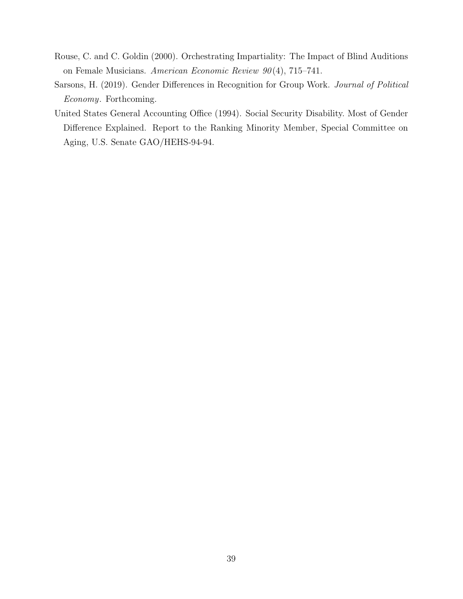- Rouse, C. and C. Goldin (2000). Orchestrating Impartiality: The Impact of Blind Auditions on Female Musicians. American Economic Review  $90(4)$ , 715–741.
- Sarsons, H. (2019). Gender Differences in Recognition for Group Work. Journal of Political Economy. Forthcoming.
- United States General Accounting Office (1994). Social Security Disability. Most of Gender Difference Explained. Report to the Ranking Minority Member, Special Committee on Aging, U.S. Senate GAO/HEHS-94-94.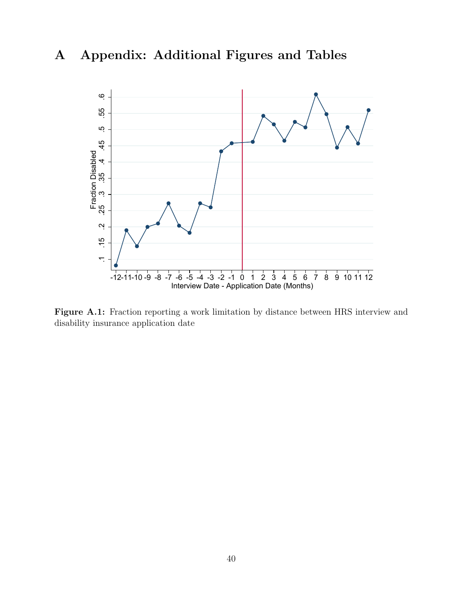# A Appendix: Additional Figures and Tables



Figure A.1: Fraction reporting a work limitation by distance between HRS interview and disability insurance application date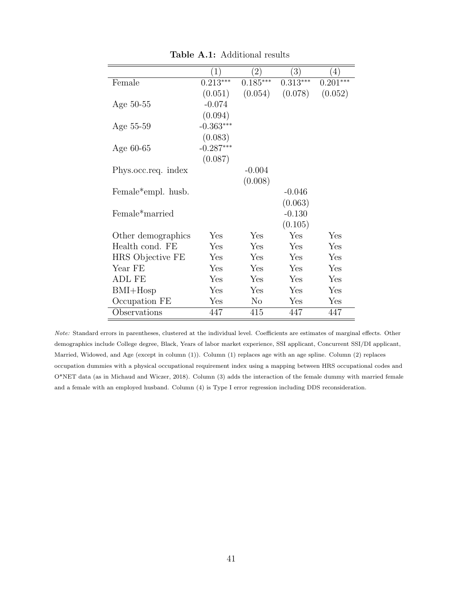|                                 | $\left(1\right)$ | $\left(2\right)$ | $\left(3\right)$ | $\left(4\right)$ |
|---------------------------------|------------------|------------------|------------------|------------------|
| Female                          | $0.213***$       | $0.185***$       | $0.313***$       | $0.201***$       |
|                                 | (0.051)          | (0.054)          | (0.078)          | (0.052)          |
| Age $50-55$                     | $-0.074$         |                  |                  |                  |
|                                 | (0.094)          |                  |                  |                  |
| Age 55-59                       | $-0.363***$      |                  |                  |                  |
|                                 | (0.083)          |                  |                  |                  |
| Age 60-65                       | $-0.287***$      |                  |                  |                  |
|                                 | (0.087)          |                  |                  |                  |
| Phys.occ.req. index             |                  | $-0.004$         |                  |                  |
|                                 |                  | (0.008)          |                  |                  |
| Female <sup>*</sup> empl. husb. |                  |                  | $-0.046$         |                  |
|                                 |                  |                  | (0.063)          |                  |
| Female <sup>*</sup> married     |                  |                  | $-0.130$         |                  |
|                                 |                  |                  | (0.105)          |                  |
| Other demographics              | Yes              | Yes              | Yes              | Yes              |
| Health cond. FE                 | Yes              | Yes              | Yes              | Yes              |
| HRS Objective FE                | Yes              | Yes              | Yes              | Yes              |
| Year FE                         | Yes              | Yes              | Yes              | Yes              |
| <b>ADL FE</b>                   | Yes              | Yes              | Yes              | Yes              |
| $BMI+Hosp$                      | Yes              | Yes              | Yes              | Yes              |
| Occupation FE                   | Yes              | $\rm No$         | Yes              | Yes              |
| Observations                    | 447              | 415              | 447              | 447              |

Table A.1: Additional results

Note: Standard errors in parentheses, clustered at the individual level. Coefficients are estimates of marginal effects. Other demographics include College degree, Black, Years of labor market experience, SSI applicant, Concurrent SSI/DI applicant, Married, Widowed, and Age (except in column (1)). Column (1) replaces age with an age spline. Column (2) replaces occupation dummies with a physical occupational requirement index using a mapping between HRS occupational codes and O\*NET data (as in Michaud and Wiczer, 2018). Column (3) adds the interaction of the female dummy with married female and a female with an employed husband. Column (4) is Type I error regression including DDS reconsideration.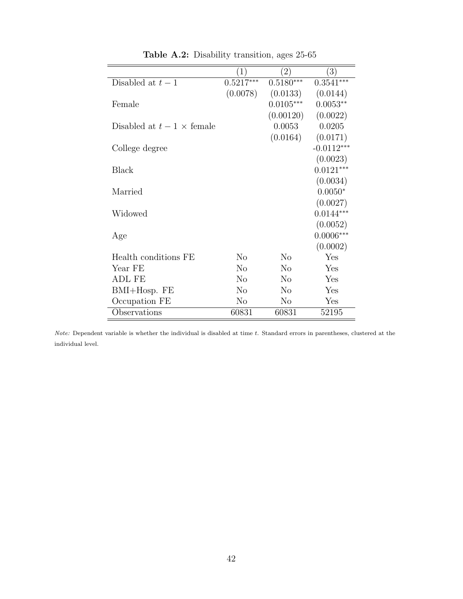|                                 | $\left(1\right)$ | $\left( 2\right)$ | 3)           |
|---------------------------------|------------------|-------------------|--------------|
| Disabled at $t-1$               | $0.5217***$      | $0.5180***$       | $0.3541***$  |
|                                 | (0.0078)         | (0.0133)          | (0.0144)     |
| Female                          |                  | $0.0105***$       | $0.0053**$   |
|                                 |                  | (0.00120)         | (0.0022)     |
| Disabled at $t-1 \times$ female |                  | 0.0053            | 0.0205       |
|                                 |                  | (0.0164)          | (0.0171)     |
| College degree                  |                  |                   | $-0.0112***$ |
|                                 |                  |                   | (0.0023)     |
| <b>Black</b>                    |                  |                   | $0.0121***$  |
|                                 |                  |                   | (0.0034)     |
| Married                         |                  |                   | $0.0050*$    |
|                                 |                  |                   | (0.0027)     |
| Widowed                         |                  |                   | $0.0144***$  |
|                                 |                  |                   | (0.0052)     |
| Age                             |                  |                   | $0.0006***$  |
|                                 |                  |                   | (0.0002)     |
| Health conditions FE            | N <sub>0</sub>   | N <sub>o</sub>    | Yes          |
| Year FE                         | N <sub>0</sub>   | No                | Yes          |
| ADL FE                          | N <sub>0</sub>   | N <sub>o</sub>    | Yes          |
| $BMI+Hosp. FE$                  | $\rm No$         | N <sub>o</sub>    | Yes          |
| Occupation FE                   | $\rm No$         | $\rm No$          | Yes          |
| Observations                    | 60831            | 60831             | 52195        |

Table A.2: Disability transition, ages 25-65

Note: Dependent variable is whether the individual is disabled at time t. Standard errors in parentheses, clustered at the individual level.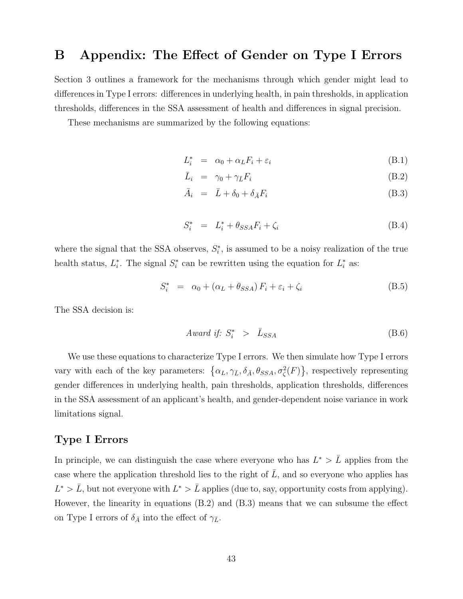# B Appendix: The Effect of Gender on Type I Errors

Section 3 outlines a framework for the mechanisms through which gender might lead to differences in Type I errors: differences in underlying health, in pain thresholds, in application thresholds, differences in the SSA assessment of health and differences in signal precision.

These mechanisms are summarized by the following equations:

$$
L_i^* = \alpha_0 + \alpha_L F_i + \varepsilon_i \tag{B.1}
$$

$$
\bar{L}_i = \gamma_0 + \gamma_{\bar{L}} F_i \tag{B.2}
$$

$$
\bar{A}_i = \bar{L} + \delta_0 + \delta_{\bar{A}} F_i \tag{B.3}
$$

$$
S_i^* = L_i^* + \theta_{SSA} F_i + \zeta_i \tag{B.4}
$$

where the signal that the SSA observes,  $S_i^*$ , is assumed to be a noisy realization of the true health status,  $L_i^*$ . The signal  $S_i^*$  can be rewritten using the equation for  $L_i^*$  as:

$$
S_i^* = \alpha_0 + (\alpha_L + \theta_{SSA}) F_i + \varepsilon_i + \zeta_i
$$
 (B.5)

The SSA decision is:

$$
Award if: S_i^* > \bar{L}_{SSA} \tag{B.6}
$$

We use these equations to characterize Type I errors. We then simulate how Type I errors vary with each of the key parameters:  $\{\alpha_L, \gamma_{\bar{L}}, \delta_{\bar{A}}, \theta_{SSA}, \sigma_{\zeta}^2(F)\}\$ , respectively representing gender differences in underlying health, pain thresholds, application thresholds, differences in the SSA assessment of an applicant's health, and gender-dependent noise variance in work limitations signal.

## Type I Errors

In principle, we can distinguish the case where everyone who has  $L^*$  >  $\overline{L}$  applies from the case where the application threshold lies to the right of  $\overline{L}$ , and so everyone who applies has  $L^* > \bar{L}$ , but not everyone with  $L^* > \bar{L}$  applies (due to, say, opportunity costs from applying). However, the linearity in equations (B.2) and (B.3) means that we can subsume the effect on Type I errors of  $\delta_{\bar{A}}$  into the effect of  $\gamma_{\bar{L}}$ .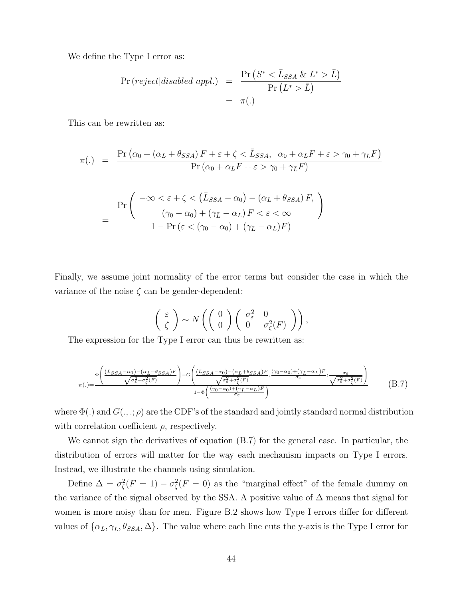We define the Type I error as:

$$
\Pr\left(\text{reject}|\text{disabeled appl.}\right) = \frac{\Pr\left(S^* < \bar{L}_{SSA} \& L^* > \bar{L}\right)}{\Pr\left(L^* > \bar{L}\right)} \\
= \pi(.)
$$

This can be rewritten as:

$$
\pi(.) = \frac{\Pr\left(\alpha_0 + (\alpha_L + \theta_{SSA}) F + \varepsilon + \zeta < \bar{L}_{SSA}, \ \alpha_0 + \alpha_L F + \varepsilon > \gamma_0 + \gamma_{\bar{L}} F\right)}{\Pr\left(\alpha_0 + \alpha_L F + \varepsilon > \gamma_0 + \gamma_{\bar{L}} F\right)}
$$

$$
= \frac{\Pr\left(-\infty < \varepsilon + \zeta < (\bar{L}_{SSA} - \alpha_0) - (\alpha_L + \theta_{SSA}) F, \frac{\gamma_0 - \alpha_0}{\gamma_0 - \alpha_0} + (\gamma_{\bar{L}} - \alpha_L) F < \varepsilon < \infty\right)}{1 - \Pr(\varepsilon < (\gamma_0 - \alpha_0) + (\gamma_{\bar{L}} - \alpha_L) F)}
$$

Finally, we assume joint normality of the error terms but consider the case in which the variance of the noise  $\zeta$  can be gender-dependent:

$$
\left(\begin{array}{c} \varepsilon \\ \zeta \end{array}\right) \sim N\left(\left(\begin{array}{c} 0 \\ 0 \end{array}\right)\left(\begin{array}{cc} \sigma_{\varepsilon}^2 & 0 \\ 0 & \sigma_{\zeta}^2(F) \end{array}\right)\right),\,
$$

The expression for the Type I error can thus be rewritten as:

$$
\pi(.) = \frac{\Phi\left(\frac{(\bar{L}_{SSA} - \alpha_0) - (\alpha_L + \theta_{SSA})F}{\sqrt{\sigma_{\varepsilon}^2 + \sigma_{\zeta}^2(F)}}\right) - G\left(\frac{(\bar{L}_{SSA} - \alpha_0) - (\alpha_L + \theta_{SSA})F}{\sqrt{\sigma_{\varepsilon}^2 + \sigma_{\zeta}^2(F)}}, \frac{(\gamma_0 - \alpha_0) + (\gamma_{\overline{L}} - \alpha_L)F}{\sigma_{\varepsilon}}; \frac{\sigma_{\varepsilon}}{\sqrt{\sigma_{\varepsilon}^2 + \sigma_{\zeta}^2(F)}}\right)}{(B.7)}
$$
(B.7)

where  $\Phi(.)$  and  $G(.,.;\rho)$  are the CDF's of the standard and jointly standard normal distribution with correlation coefficient  $\rho$ , respectively.

We cannot sign the derivatives of equation (B.7) for the general case. In particular, the distribution of errors will matter for the way each mechanism impacts on Type I errors. Instead, we illustrate the channels using simulation.

Define  $\Delta = \sigma_{\zeta}^2(F=1) - \sigma_{\zeta}^2(F=0)$  as the "marginal effect" of the female dummy on the variance of the signal observed by the SSA. A positive value of  $\Delta$  means that signal for women is more noisy than for men. Figure B.2 shows how Type I errors differ for different values of  $\{\alpha_L, \gamma_{\bar{L}}, \theta_{SSA}, \Delta\}$ . The value where each line cuts the y-axis is the Type I error for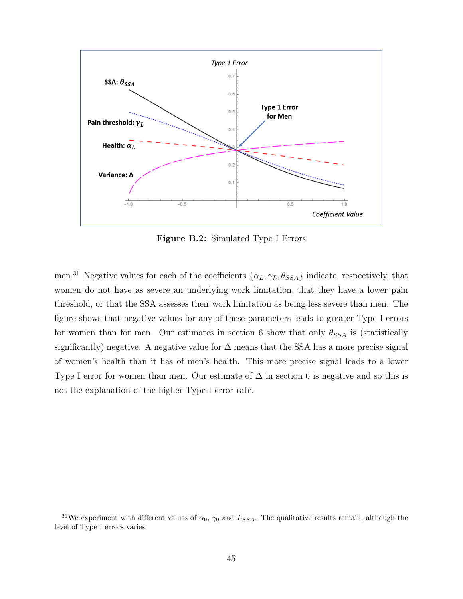

Figure B.2: Simulated Type I Errors

men.<sup>31</sup> Negative values for each of the coefficients  $\{\alpha_L, \gamma_{\bar{L}}, \theta_{SSA}\}\$  indicate, respectively, that women do not have as severe an underlying work limitation, that they have a lower pain threshold, or that the SSA assesses their work limitation as being less severe than men. The figure shows that negative values for any of these parameters leads to greater Type I errors for women than for men. Our estimates in section 6 show that only  $\theta_{SSA}$  is (statistically significantly) negative. A negative value for  $\Delta$  means that the SSA has a more precise signal of women's health than it has of men's health. This more precise signal leads to a lower Type I error for women than men. Our estimate of  $\Delta$  in section 6 is negative and so this is not the explanation of the higher Type I error rate.

<sup>&</sup>lt;sup>31</sup>We experiment with different values of  $\alpha_0$ ,  $\gamma_0$  and  $\bar{L}_{SSA}$ . The qualitative results remain, although the level of Type I errors varies.